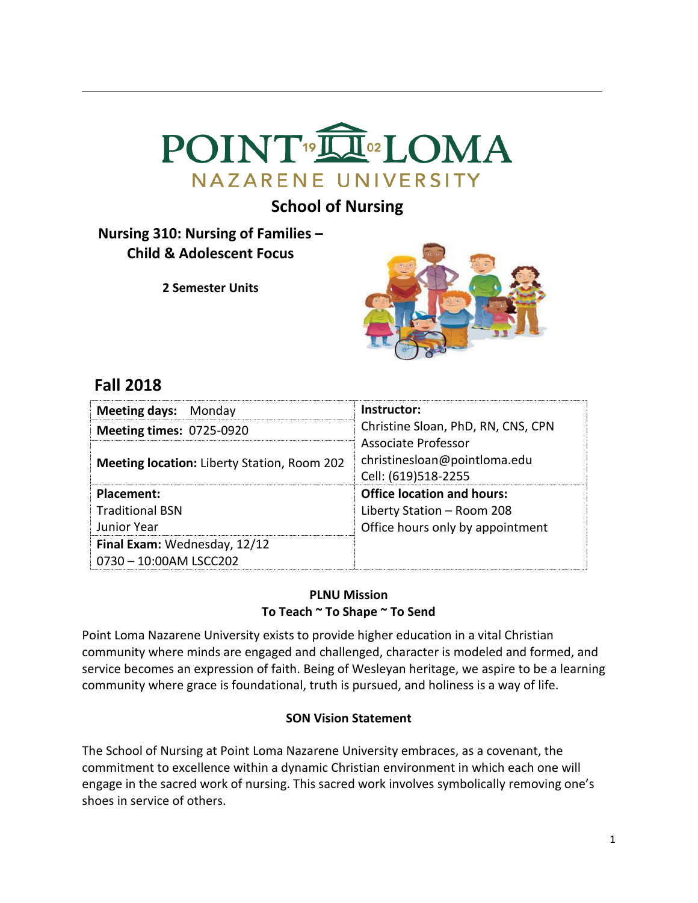

# **School of Nursing**

# **Nursing 310: Nursing of Families – Child & Adolescent Focus**

**2 Semester Units**



# **Fall 2018**

| <b>Meeting days: Monday</b>                            | Instructor:                                                                |
|--------------------------------------------------------|----------------------------------------------------------------------------|
| <b>Meeting times: 0725-0920</b>                        | Christine Sloan, PhD, RN, CNS, CPN                                         |
| <b>Meeting location:</b> Liberty Station, Room 202     | Associate Professor<br>christinesloan@pointloma.edu<br>Cell: (619)518-2255 |
| Placement:                                             | <b>Office location and hours:</b>                                          |
| <b>Traditional BSN</b>                                 | Liberty Station - Room 208                                                 |
| Junior Year                                            | Office hours only by appointment                                           |
| Final Exam: Wednesday, 12/12<br>0730 - 10:00AM LSCC202 |                                                                            |

# **PLNU Mission To Teach ~ To Shape ~ To Send**

Point Loma Nazarene University exists to provide higher education in a vital Christian community where minds are engaged and challenged, character is modeled and formed, and service becomes an expression of faith. Being of Wesleyan heritage, we aspire to be a learning community where grace is foundational, truth is pursued, and holiness is a way of life.

# **SON Vision Statement**

The School of Nursing at Point Loma Nazarene University embraces, as a covenant, the commitment to excellence within a dynamic Christian environment in which each one will engage in the sacred work of nursing. This sacred work involves symbolically removing one's shoes in service of others.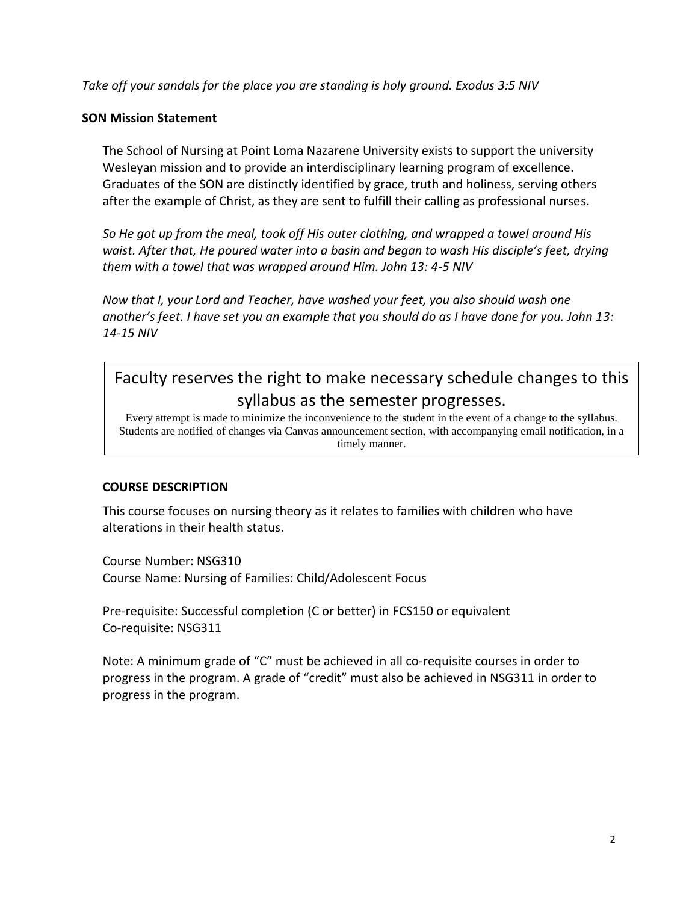*Take off your sandals for the place you are standing is holy ground. Exodus 3:5 NIV* 

### **SON Mission Statement**

The School of Nursing at Point Loma Nazarene University exists to support the university Wesleyan mission and to provide an interdisciplinary learning program of excellence. Graduates of the SON are distinctly identified by grace, truth and holiness, serving others after the example of Christ, as they are sent to fulfill their calling as professional nurses.

*So He got up from the meal, took off His outer clothing, and wrapped a towel around His waist. After that, He poured water into a basin and began to wash His disciple's feet, drying them with a towel that was wrapped around Him. John 13: 4-5 NIV* 

*Now that I, your Lord and Teacher, have washed your feet, you also should wash one another's feet. I have set you an example that you should do as I have done for you. John 13: 14-15 NIV* 

# Faculty reserves the right to make necessary schedule changes to this syllabus as the semester progresses.

Every attempt is made to minimize the inconvenience to the student in the event of a change to the syllabus. Students are notified of changes via Canvas announcement section, with accompanying email notification, in a timely manner.

# **COURSE DESCRIPTION**

This course focuses on nursing theory as it relates to families with children who have alterations in their health status.

Course Number: NSG310 Course Name: Nursing of Families: Child/Adolescent Focus

Pre-requisite: Successful completion (C or better) in FCS150 or equivalent Co-requisite: NSG311

Note: A minimum grade of "C" must be achieved in all co-requisite courses in order to progress in the program. A grade of "credit" must also be achieved in NSG311 in order to progress in the program.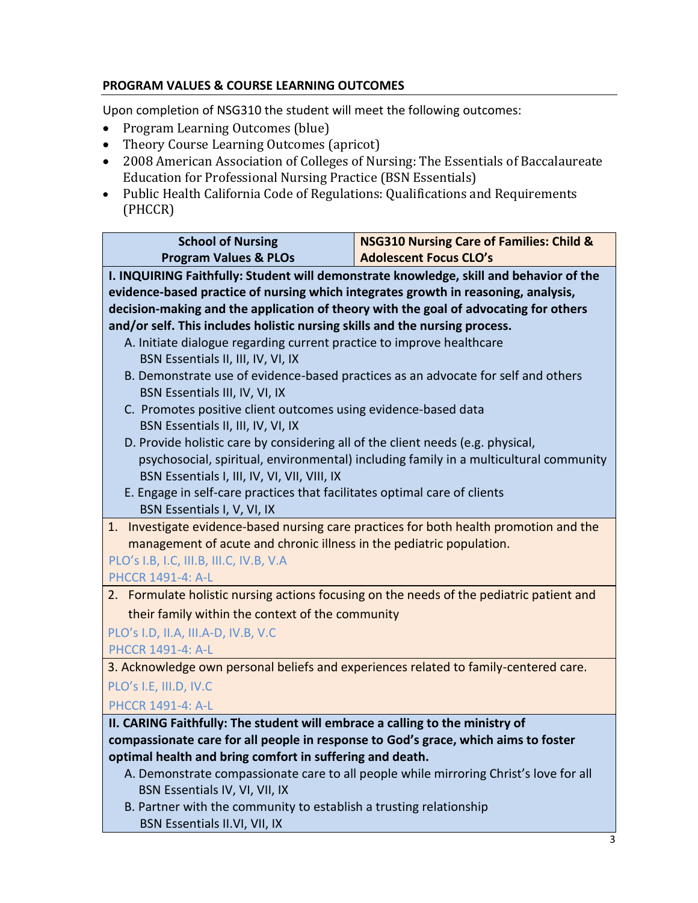# **PROGRAM VALUES & COURSE LEARNING OUTCOMES**

Upon completion of NSG310 the student will meet the following outcomes:

- Program Learning Outcomes (blue)
- Theory Course Learning Outcomes (apricot)
- 2008 American Association of Colleges of Nursing: The Essentials of Baccalaureate Education for Professional Nursing Practice (BSN Essentials)
- Public Health California Code of Regulations: Qualifications and Requirements (PHCCR)

| <b>School of Nursing</b>                                                                                                  | <b>NSG310 Nursing Care of Families: Child &amp;</b>                                   |  |  |  |  |  |  |  |
|---------------------------------------------------------------------------------------------------------------------------|---------------------------------------------------------------------------------------|--|--|--|--|--|--|--|
| <b>Program Values &amp; PLOs</b>                                                                                          | <b>Adolescent Focus CLO's</b>                                                         |  |  |  |  |  |  |  |
| I. INQUIRING Faithfully: Student will demonstrate knowledge, skill and behavior of the                                    |                                                                                       |  |  |  |  |  |  |  |
| evidence-based practice of nursing which integrates growth in reasoning, analysis,                                        |                                                                                       |  |  |  |  |  |  |  |
| decision-making and the application of theory with the goal of advocating for others                                      |                                                                                       |  |  |  |  |  |  |  |
| and/or self. This includes holistic nursing skills and the nursing process.                                               |                                                                                       |  |  |  |  |  |  |  |
| A. Initiate dialogue regarding current practice to improve healthcare                                                     |                                                                                       |  |  |  |  |  |  |  |
| BSN Essentials II, III, IV, VI, IX                                                                                        |                                                                                       |  |  |  |  |  |  |  |
| B. Demonstrate use of evidence-based practices as an advocate for self and others                                         |                                                                                       |  |  |  |  |  |  |  |
| BSN Essentials III, IV, VI, IX                                                                                            |                                                                                       |  |  |  |  |  |  |  |
| C. Promotes positive client outcomes using evidence-based data                                                            |                                                                                       |  |  |  |  |  |  |  |
| BSN Essentials II, III, IV, VI, IX                                                                                        |                                                                                       |  |  |  |  |  |  |  |
| D. Provide holistic care by considering all of the client needs (e.g. physical,                                           |                                                                                       |  |  |  |  |  |  |  |
|                                                                                                                           | psychosocial, spiritual, environmental) including family in a multicultural community |  |  |  |  |  |  |  |
| BSN Essentials I, III, IV, VI, VII, VIII, IX<br>E. Engage in self-care practices that facilitates optimal care of clients |                                                                                       |  |  |  |  |  |  |  |
| BSN Essentials I, V, VI, IX                                                                                               |                                                                                       |  |  |  |  |  |  |  |
| 1. Investigate evidence-based nursing care practices for both health promotion and the                                    |                                                                                       |  |  |  |  |  |  |  |
| management of acute and chronic illness in the pediatric population.                                                      |                                                                                       |  |  |  |  |  |  |  |
| PLO's I.B, I.C, III.B, III.C, IV.B, V.A                                                                                   |                                                                                       |  |  |  |  |  |  |  |
| PHCCR 1491-4: A-L                                                                                                         |                                                                                       |  |  |  |  |  |  |  |
| 2. Formulate holistic nursing actions focusing on the needs of the pediatric patient and                                  |                                                                                       |  |  |  |  |  |  |  |
| their family within the context of the community                                                                          |                                                                                       |  |  |  |  |  |  |  |
| PLO's I.D, II.A, III.A-D, IV.B, V.C                                                                                       |                                                                                       |  |  |  |  |  |  |  |
| PHCCR 1491-4: A-L                                                                                                         |                                                                                       |  |  |  |  |  |  |  |
| 3. Acknowledge own personal beliefs and experiences related to family-centered care.                                      |                                                                                       |  |  |  |  |  |  |  |
| PLO's I.E, III.D, IV.C                                                                                                    |                                                                                       |  |  |  |  |  |  |  |
| PHCCR 1491-4: A-L                                                                                                         |                                                                                       |  |  |  |  |  |  |  |
| II. CARING Faithfully: The student will embrace a calling to the ministry of                                              |                                                                                       |  |  |  |  |  |  |  |
| compassionate care for all people in response to God's grace, which aims to foster                                        |                                                                                       |  |  |  |  |  |  |  |
| optimal health and bring comfort in suffering and death.                                                                  |                                                                                       |  |  |  |  |  |  |  |
|                                                                                                                           | A. Demonstrate compassionate care to all people while mirroring Christ's love for all |  |  |  |  |  |  |  |
| BSN Essentials IV, VI, VII, IX                                                                                            |                                                                                       |  |  |  |  |  |  |  |
| B. Partner with the community to establish a trusting relationship                                                        |                                                                                       |  |  |  |  |  |  |  |

BSN Essentials II.VI, VII, IX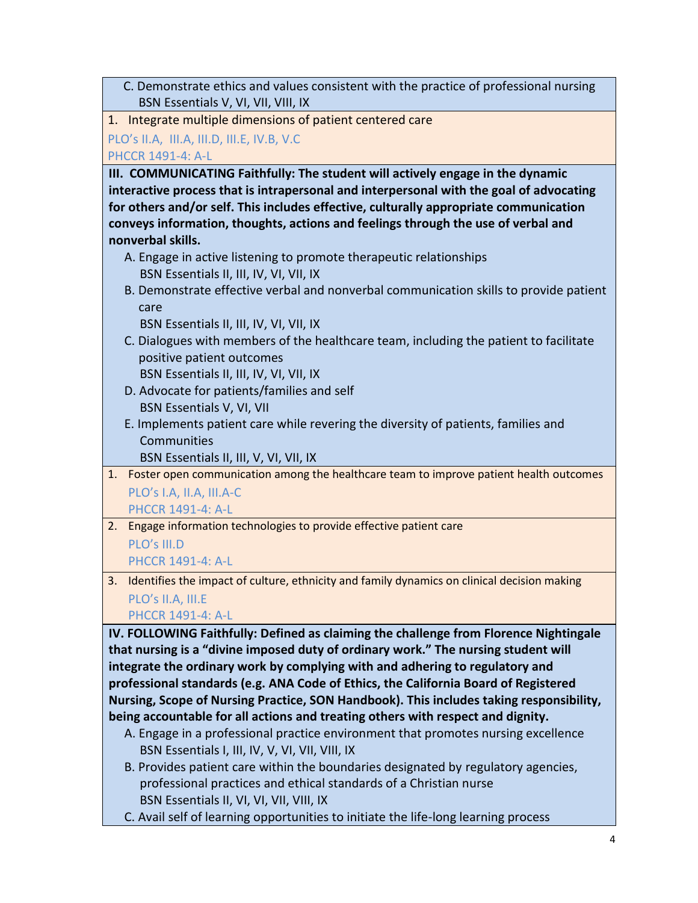C. Demonstrate ethics and values consistent with the practice of professional nursing BSN Essentials V, VI, VII, VIII, IX

1. Integrate multiple dimensions of patient centered care

PLO's II.A, III.A, III.D, III.E, IV.B, V.C

PHCCR 1491-4: A-L

**III. COMMUNICATING Faithfully: The student will actively engage in the dynamic interactive process that is intrapersonal and interpersonal with the goal of advocating for others and/or self. This includes effective, culturally appropriate communication conveys information, thoughts, actions and feelings through the use of verbal and nonverbal skills.**

- A. Engage in active listening to promote therapeutic relationships BSN Essentials II, III, IV, VI, VII, IX
- B. Demonstrate effective verbal and nonverbal communication skills to provide patient care

BSN Essentials II, III, IV, VI, VII, IX

 C. Dialogues with members of the healthcare team, including the patient to facilitate positive patient outcomes

BSN Essentials II, III, IV, VI, VII, IX

- D. Advocate for patients/families and self BSN Essentials V, VI, VII
- E. Implements patient care while revering the diversity of patients, families and Communities

BSN Essentials II, III, V, VI, VII, IX

1. Foster open communication among the healthcare team to improve patient health outcomes PLO's I.A, II.A, III.A-C

PHCCR 1491-4: A-L

2. Engage information technologies to provide effective patient care PLO's III.D

PHCCR 1491-4: A-L

3. Identifies the impact of culture, ethnicity and family dynamics on clinical decision making PLO's II.A, III.E

PHCCR 1491-4: A-L

**IV. FOLLOWING Faithfully: Defined as claiming the challenge from Florence Nightingale that nursing is a "divine imposed duty of ordinary work." The nursing student will integrate the ordinary work by complying with and adhering to regulatory and professional standards (e.g. ANA Code of Ethics, the California Board of Registered Nursing, Scope of Nursing Practice, SON Handbook). This includes taking responsibility, being accountable for all actions and treating others with respect and dignity.**

- A. Engage in a professional practice environment that promotes nursing excellence BSN Essentials I, III, IV, V, VI, VII, VIII, IX
- B. Provides patient care within the boundaries designated by regulatory agencies, professional practices and ethical standards of a Christian nurse BSN Essentials II, VI, VI, VII, VIII, IX
- C. Avail self of learning opportunities to initiate the life-long learning process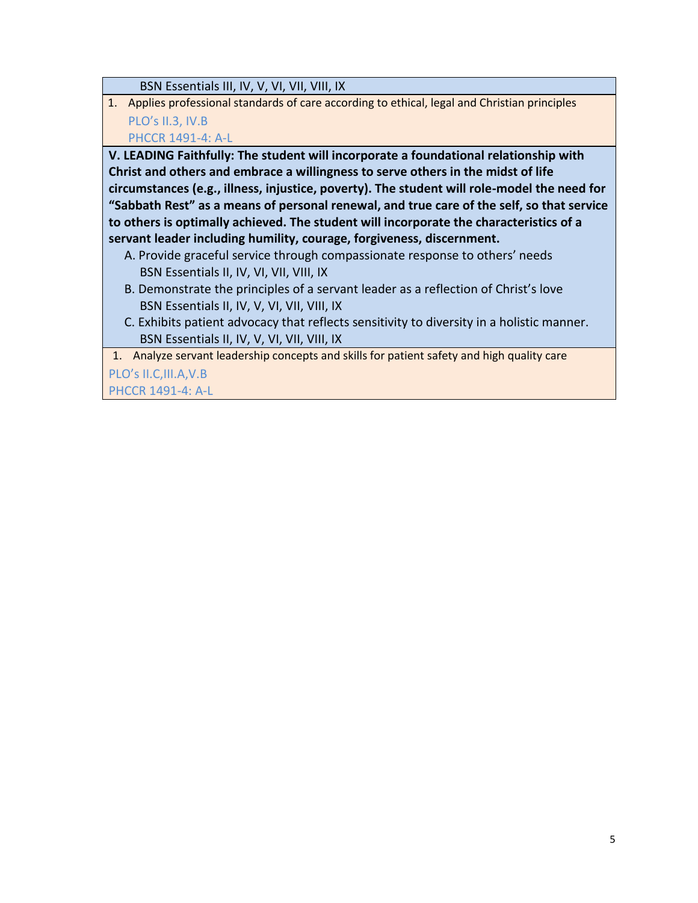BSN Essentials III, IV, V, VI, VII, VIII, IX

1. Applies professional standards of care according to ethical, legal and Christian principles PLO's II.3, IV.B

PHCCR 1491-4: A-L

**V. LEADING Faithfully: The student will incorporate a foundational relationship with Christ and others and embrace a willingness to serve others in the midst of life circumstances (e.g., illness, injustice, poverty). The student will role-model the need for "Sabbath Rest" as a means of personal renewal, and true care of the self, so that service to others is optimally achieved. The student will incorporate the characteristics of a servant leader including humility, courage, forgiveness, discernment.**

- A. Provide graceful service through compassionate response to others' needs BSN Essentials II, IV, VI, VII, VIII, IX
- B. Demonstrate the principles of a servant leader as a reflection of Christ's love BSN Essentials II, IV, V, VI, VII, VIII, IX
- C. Exhibits patient advocacy that reflects sensitivity to diversity in a holistic manner. BSN Essentials II, IV, V, VI, VII, VIII, IX

1. Analyze servant leadership concepts and skills for patient safety and high quality care

PLO's II.C,III.A,V.B PHCCR 1491-4: A-L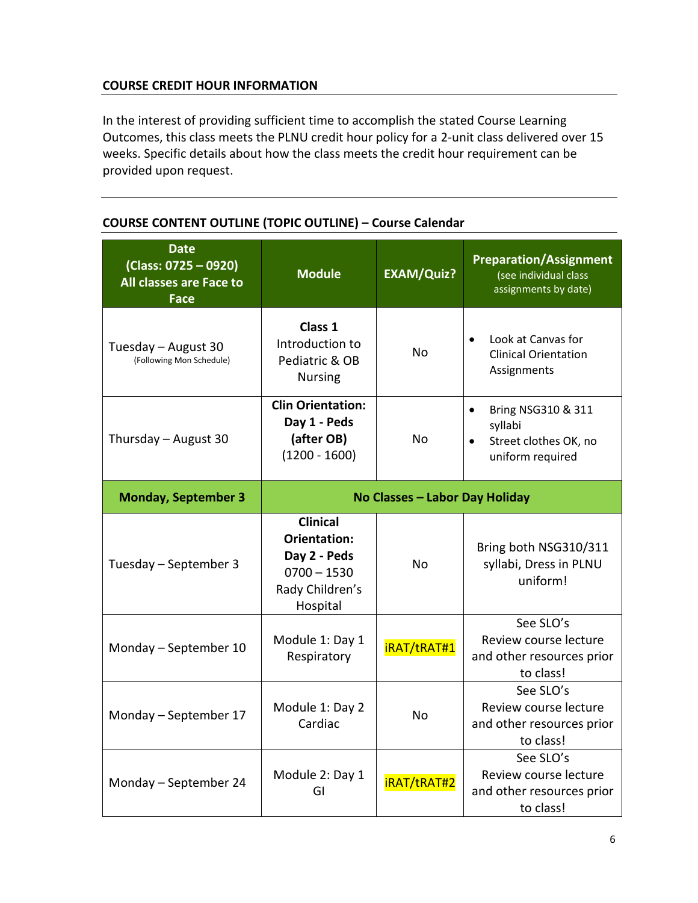## **COURSE CREDIT HOUR INFORMATION**

In the interest of providing sufficient time to accomplish the stated Course Learning Outcomes, this class meets the PLNU credit hour policy for a 2-unit class delivered over 15 weeks. Specific details about how the class meets the credit hour requirement can be provided upon request.

| <b>Date</b><br>$(Class: 0725 - 0920)$<br>All classes are Face to<br>Face | <b>Module</b>                                                                                          | <b>EXAM/Quiz?</b>  | <b>Preparation/Assignment</b><br>(see individual class<br>assignments by date)                       |  |
|--------------------------------------------------------------------------|--------------------------------------------------------------------------------------------------------|--------------------|------------------------------------------------------------------------------------------------------|--|
| Tuesday - August 30<br>(Following Mon Schedule)                          | Class 1<br>Introduction to<br>Pediatric & OB<br><b>Nursing</b>                                         | Nο                 | Look at Canvas for<br><b>Clinical Orientation</b><br>Assignments                                     |  |
| Thursday - August 30                                                     | <b>Clin Orientation:</b><br>Day 1 - Peds<br>(after OB)<br>$(1200 - 1600)$                              | No                 | Bring NSG310 & 311<br>$\bullet$<br>syllabi<br>Street clothes OK, no<br>$\bullet$<br>uniform required |  |
| <b>Monday, September 3</b>                                               | No Classes - Labor Day Holiday                                                                         |                    |                                                                                                      |  |
| Tuesday - September 3                                                    | <b>Clinical</b><br><b>Orientation:</b><br>Day 2 - Peds<br>$0700 - 1530$<br>Rady Children's<br>Hospital | <b>No</b>          | Bring both NSG310/311<br>syllabi, Dress in PLNU<br>uniform!                                          |  |
| Monday - September 10                                                    | Module 1: Day 1<br>Respiratory                                                                         | iRAT/tRAT#1        | See SLO's<br>Review course lecture<br>and other resources prior<br>to class!                         |  |
| Monday - September 17                                                    | Module 1: Day 2<br>Cardiac                                                                             | <b>No</b>          | See SLO's<br>Review course lecture<br>and other resources prior<br>to class!                         |  |
| Monday - September 24                                                    | Module 2: Day 1<br>GI                                                                                  | <b>iRAT/tRAT#2</b> | See SLO's<br>Review course lecture<br>and other resources prior<br>to class!                         |  |

## **COURSE CONTENT OUTLINE (TOPIC OUTLINE) – Course Calendar**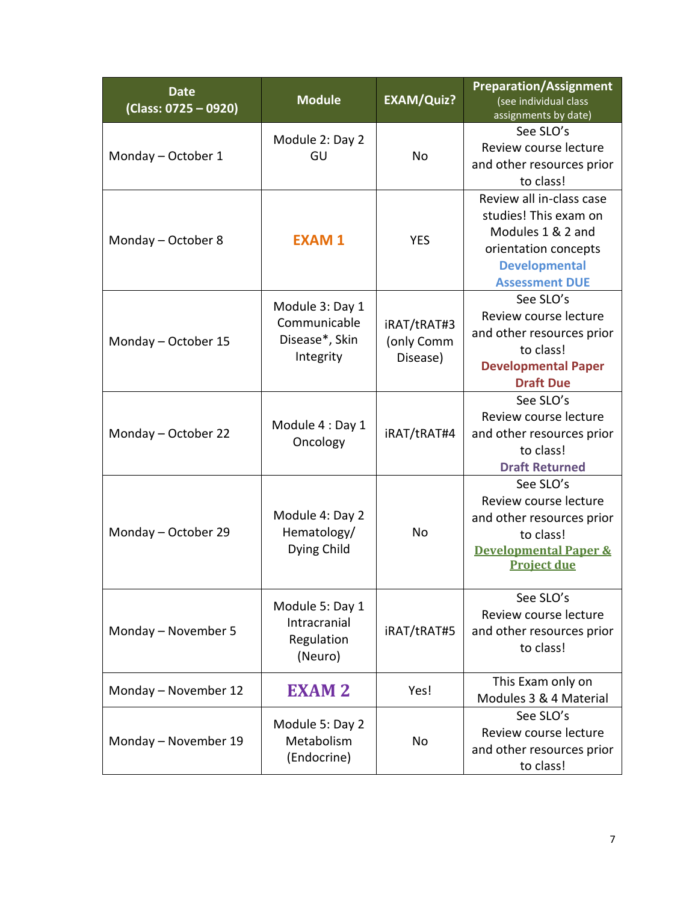| <b>Date</b><br>(Class: 0725 - 0920)                                             | <b>Module</b>                                                  | <b>EXAM/Quiz?</b>                     | <b>Preparation/Assignment</b><br>(see individual class<br>assignments by date)                                                                  |  |
|---------------------------------------------------------------------------------|----------------------------------------------------------------|---------------------------------------|-------------------------------------------------------------------------------------------------------------------------------------------------|--|
|                                                                                 | Module 2: Day 2                                                |                                       | See SLO's<br>Review course lecture                                                                                                              |  |
| Monday - October 1                                                              | GU                                                             | No                                    | and other resources prior                                                                                                                       |  |
|                                                                                 |                                                                |                                       | to class!                                                                                                                                       |  |
| Monday - October 8                                                              | <b>EXAM1</b>                                                   | <b>YES</b>                            | Review all in-class case<br>studies! This exam on<br>Modules 1 & 2 and<br>orientation concepts<br><b>Developmental</b><br><b>Assessment DUE</b> |  |
| Monday - October 15                                                             | Module 3: Day 1<br>Communicable<br>Disease*, Skin<br>Integrity | iRAT/tRAT#3<br>(only Comm<br>Disease) | See SLO's<br>Review course lecture<br>and other resources prior<br>to class!<br><b>Developmental Paper</b><br><b>Draft Due</b>                  |  |
| Monday - October 22                                                             | Module 4 : Day 1<br>Oncology                                   | iRAT/tRAT#4                           | See SLO's<br>Review course lecture<br>and other resources prior<br>to class!<br><b>Draft Returned</b>                                           |  |
| Monday - October 29                                                             | Module 4: Day 2<br>Hematology/<br>Dying Child                  | No                                    | See SLO's<br>Review course lecture<br>and other resources prior<br>to class!<br><b>Developmental Paper &amp;</b><br><b>Project due</b>          |  |
| Module 5: Day 1<br>Intracranial<br>Monday - November 5<br>Regulation<br>(Neuro) |                                                                | iRAT/tRAT#5                           | See SLO's<br>Review course lecture<br>and other resources prior<br>to class!                                                                    |  |
| Monday - November 12                                                            | <b>EXAM 2</b>                                                  | Yes!                                  | This Exam only on<br>Modules 3 & 4 Material                                                                                                     |  |
| Monday - November 19                                                            | Module 5: Day 2<br>Metabolism<br>(Endocrine)                   | No                                    | See SLO's<br>Review course lecture<br>and other resources prior<br>to class!                                                                    |  |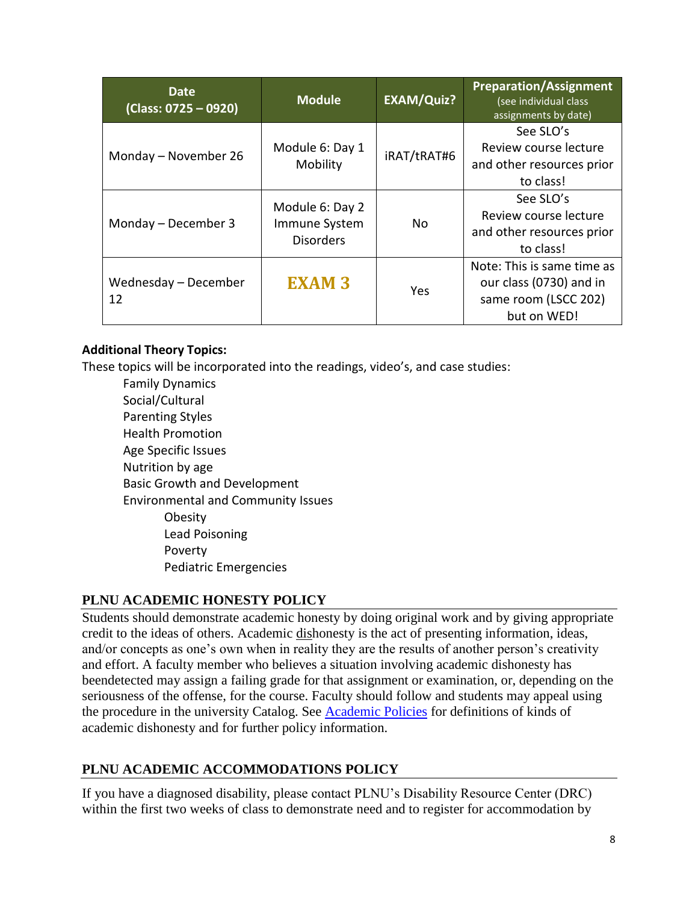| <b>Date</b><br>(Class: 0725 - 0920) | <b>Module</b>               | <b>EXAM/Quiz?</b> | <b>Preparation/Assignment</b><br>(see individual class<br>assignments by date) |
|-------------------------------------|-----------------------------|-------------------|--------------------------------------------------------------------------------|
| Monday - November 26                | Module 6: Day 1<br>Mobility |                   | See SLO's<br>Review course lecture<br>and other resources prior                |
|                                     |                             |                   | to class!                                                                      |
|                                     | Module 6: Day 2             |                   | See SLO's                                                                      |
| Monday - December 3                 | Immune System               | No.               | Review course lecture                                                          |
|                                     | <b>Disorders</b>            |                   | and other resources prior                                                      |
|                                     |                             |                   | to class!                                                                      |
|                                     |                             |                   | Note: This is same time as                                                     |
| Wednesday - December                | <b>EXAM 3</b>               | Yes               | our class (0730) and in                                                        |
| 12                                  |                             |                   | same room (LSCC 202)                                                           |
|                                     |                             |                   | but on WED!                                                                    |

# **Additional Theory Topics:**

These topics will be incorporated into the readings, video's, and case studies:

Family Dynamics Social/Cultural Parenting Styles Health Promotion Age Specific Issues Nutrition by age Basic Growth and Development Environmental and Community Issues **Obesity** Lead Poisoning Poverty Pediatric Emergencies

# **PLNU ACADEMIC HONESTY POLICY**

Students should demonstrate academic honesty by doing original work and by giving appropriate credit to the ideas of others. Academic dishonesty is the act of presenting information, ideas, and/or concepts as one's own when in reality they are the results of another person's creativity and effort. A faculty member who believes a situation involving academic dishonesty has beendetected may assign a failing grade for that assignment or examination, or, depending on the seriousness of the offense, for the course. Faculty should follow and students may appeal using the procedure in the university Catalog. See [Academic Policies](http://catalog.pointloma.edu/content.php?catoid=18&navoid=1278) for definitions of kinds of academic dishonesty and for further policy information.

# **PLNU ACADEMIC ACCOMMODATIONS POLICY**

If you have a diagnosed disability, please contact PLNU's Disability Resource Center (DRC) within the first two weeks of class to demonstrate need and to register for accommodation by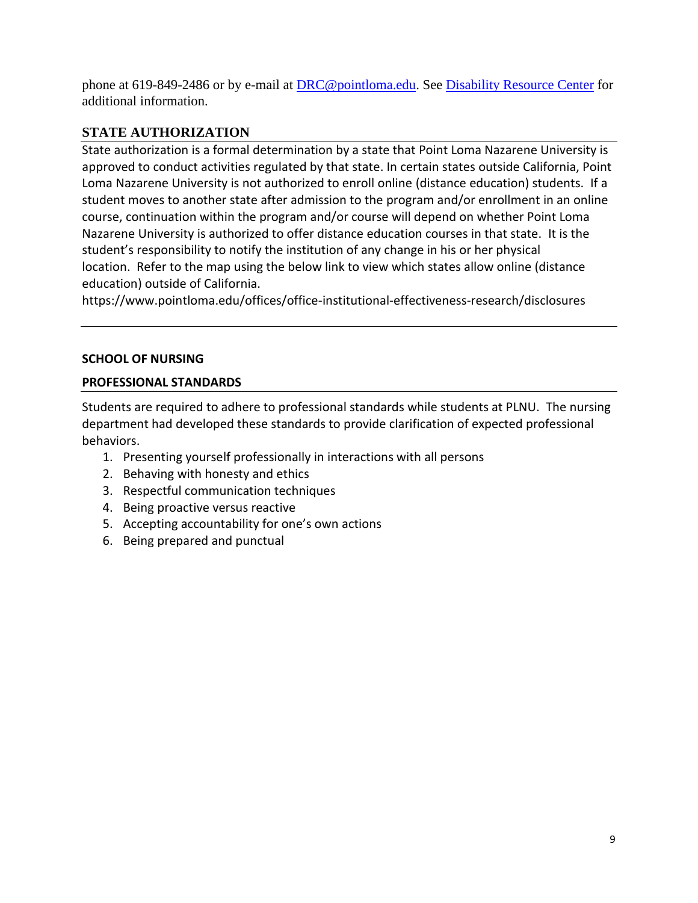phone at 619-849-2486 or by e-mail at **DRC@pointloma.edu.** See [Disability Resource Center](http://www.pointloma.edu/experience/offices/administrative-offices/academic-advising-office/disability-resource-center) for additional information.

# **STATE AUTHORIZATION**

State authorization is a formal determination by a state that Point Loma Nazarene University is approved to conduct activities regulated by that state. In certain states outside California, Point Loma Nazarene University is not authorized to enroll online (distance education) students. If a student moves to another state after admission to the program and/or enrollment in an online course, continuation within the program and/or course will depend on whether Point Loma Nazarene University is authorized to offer distance education courses in that state. It is the student's responsibility to notify the institution of any change in his or her physical location. Refer to the map using the below link to view which states allow online (distance education) outside of California.

<https://www.pointloma.edu/offices/office-institutional-effectiveness-research/disclosures>

### **SCHOOL OF NURSING**

## **PROFESSIONAL STANDARDS**

Students are required to adhere to professional standards while students at PLNU. The nursing department had developed these standards to provide clarification of expected professional behaviors.

- 1. Presenting yourself professionally in interactions with all persons
- 2. Behaving with honesty and ethics
- 3. Respectful communication techniques
- 4. Being proactive versus reactive
- 5. Accepting accountability for one's own actions
- 6. Being prepared and punctual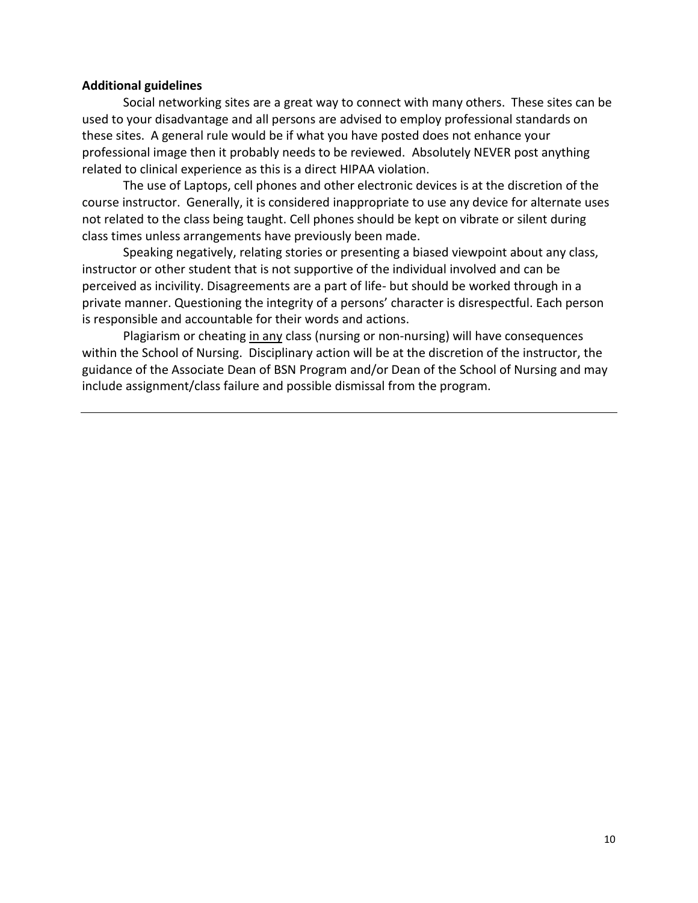### **Additional guidelines**

Social networking sites are a great way to connect with many others. These sites can be used to your disadvantage and all persons are advised to employ professional standards on these sites. A general rule would be if what you have posted does not enhance your professional image then it probably needs to be reviewed. Absolutely NEVER post anything related to clinical experience as this is a direct HIPAA violation.

The use of Laptops, cell phones and other electronic devices is at the discretion of the course instructor. Generally, it is considered inappropriate to use any device for alternate uses not related to the class being taught. Cell phones should be kept on vibrate or silent during class times unless arrangements have previously been made.

Speaking negatively, relating stories or presenting a biased viewpoint about any class, instructor or other student that is not supportive of the individual involved and can be perceived as incivility. Disagreements are a part of life- but should be worked through in a private manner. Questioning the integrity of a persons' character is disrespectful. Each person is responsible and accountable for their words and actions.

Plagiarism or cheating in any class (nursing or non-nursing) will have consequences within the School of Nursing. Disciplinary action will be at the discretion of the instructor, the guidance of the Associate Dean of BSN Program and/or Dean of the School of Nursing and may include assignment/class failure and possible dismissal from the program.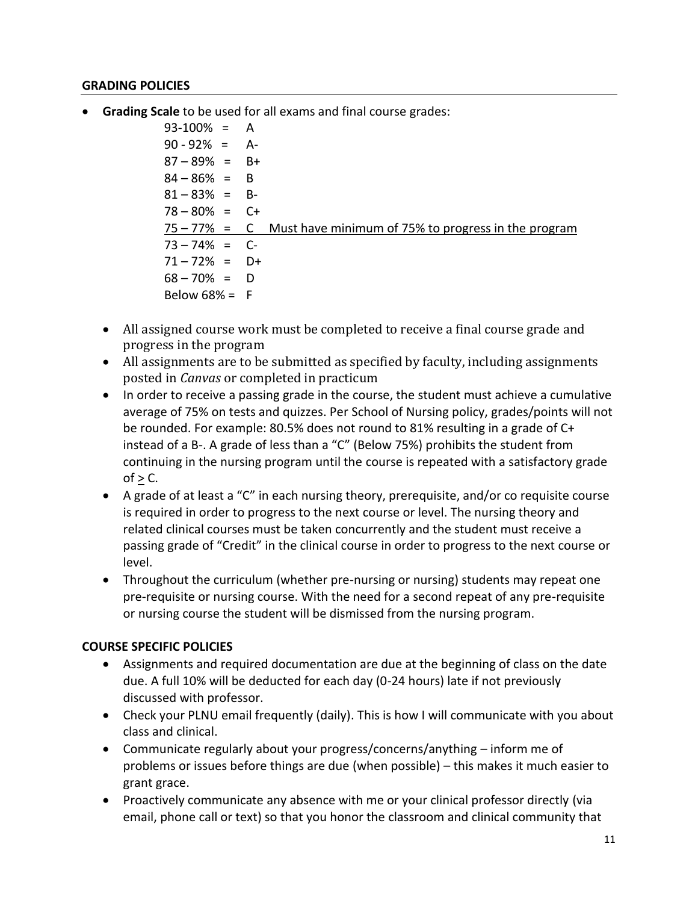### **GRADING POLICIES**

• **Grading Scale** to be used for all exams and final course grades:

93-100% = A  $90 - 92\% = A$  $87 - 89\% = B+$  $84 - 86\% = B$  $81 - 83\% = B$  $78 - 80\% = C +$ 75 – 77% = C Must have minimum of 75% to progress in the program  $73 - 74\% = C$  $71 - 72\% = D+$  $68 - 70\% = D$ Below  $68\% = F$ 

- All assigned course work must be completed to receive a final course grade and progress in the program
- All assignments are to be submitted as specified by faculty, including assignments posted in *Canvas* or completed in practicum
- In order to receive a passing grade in the course, the student must achieve a cumulative average of 75% on tests and quizzes. Per School of Nursing policy, grades/points will not be rounded. For example: 80.5% does not round to 81% resulting in a grade of C+ instead of a B-. A grade of less than a "C" (Below 75%) prohibits the student from continuing in the nursing program until the course is repeated with a satisfactory grade  $of > C$ .
- A grade of at least a "C" in each nursing theory, prerequisite, and/or co requisite course is required in order to progress to the next course or level. The nursing theory and related clinical courses must be taken concurrently and the student must receive a passing grade of "Credit" in the clinical course in order to progress to the next course or level.
- Throughout the curriculum (whether pre-nursing or nursing) students may repeat one pre-requisite or nursing course. With the need for a second repeat of any pre-requisite or nursing course the student will be dismissed from the nursing program.

### **COURSE SPECIFIC POLICIES**

- Assignments and required documentation are due at the beginning of class on the date due. A full 10% will be deducted for each day (0-24 hours) late if not previously discussed with professor.
- Check your PLNU email frequently (daily). This is how I will communicate with you about class and clinical.
- Communicate regularly about your progress/concerns/anything inform me of problems or issues before things are due (when possible) – this makes it much easier to grant grace.
- Proactively communicate any absence with me or your clinical professor directly (via email, phone call or text) so that you honor the classroom and clinical community that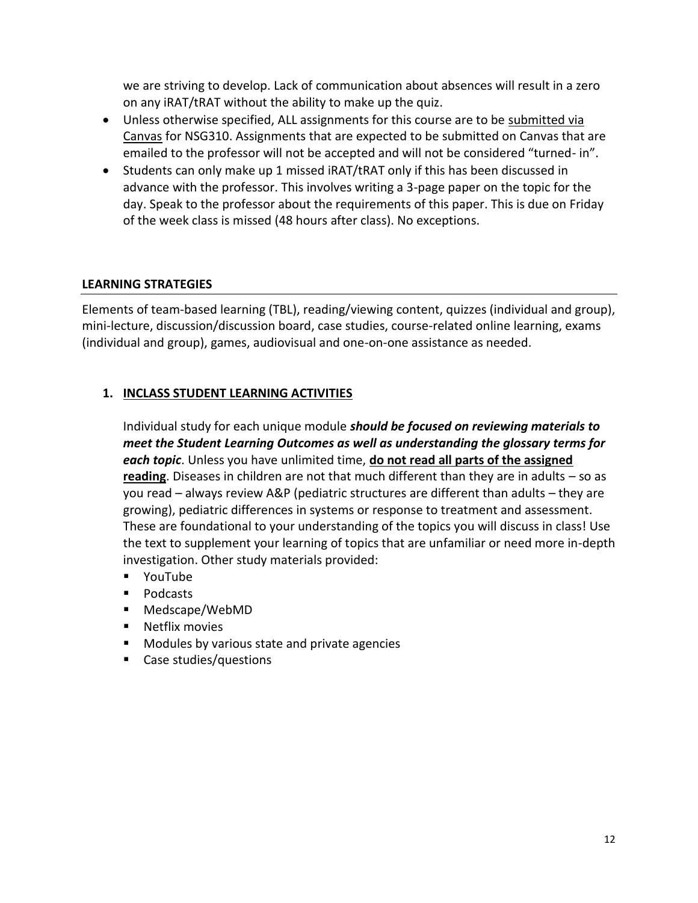we are striving to develop. Lack of communication about absences will result in a zero on any iRAT/tRAT without the ability to make up the quiz.

- Unless otherwise specified, ALL assignments for this course are to be submitted via Canvas for NSG310. Assignments that are expected to be submitted on Canvas that are emailed to the professor will not be accepted and will not be considered "turned- in".
- Students can only make up 1 missed iRAT/tRAT only if this has been discussed in advance with the professor. This involves writing a 3-page paper on the topic for the day. Speak to the professor about the requirements of this paper. This is due on Friday of the week class is missed (48 hours after class). No exceptions.

# **LEARNING STRATEGIES**

Elements of team-based learning (TBL), reading/viewing content, quizzes (individual and group), mini-lecture, discussion/discussion board, case studies, course-related online learning, exams (individual and group), games, audiovisual and one-on-one assistance as needed.

## **1. INCLASS STUDENT LEARNING ACTIVITIES**

Individual study for each unique module *should be focused on reviewing materials to meet the Student Learning Outcomes as well as understanding the glossary terms for each topic*. Unless you have unlimited time, **do not read all parts of the assigned reading**. Diseases in children are not that much different than they are in adults – so as you read – always review A&P (pediatric structures are different than adults – they are growing), pediatric differences in systems or response to treatment and assessment. These are foundational to your understanding of the topics you will discuss in class! Use the text to supplement your learning of topics that are unfamiliar or need more in-depth investigation. Other study materials provided:

- YouTube
- Podcasts
- Medscape/WebMD
- Netflix movies
- Modules by various state and private agencies
- Case studies/questions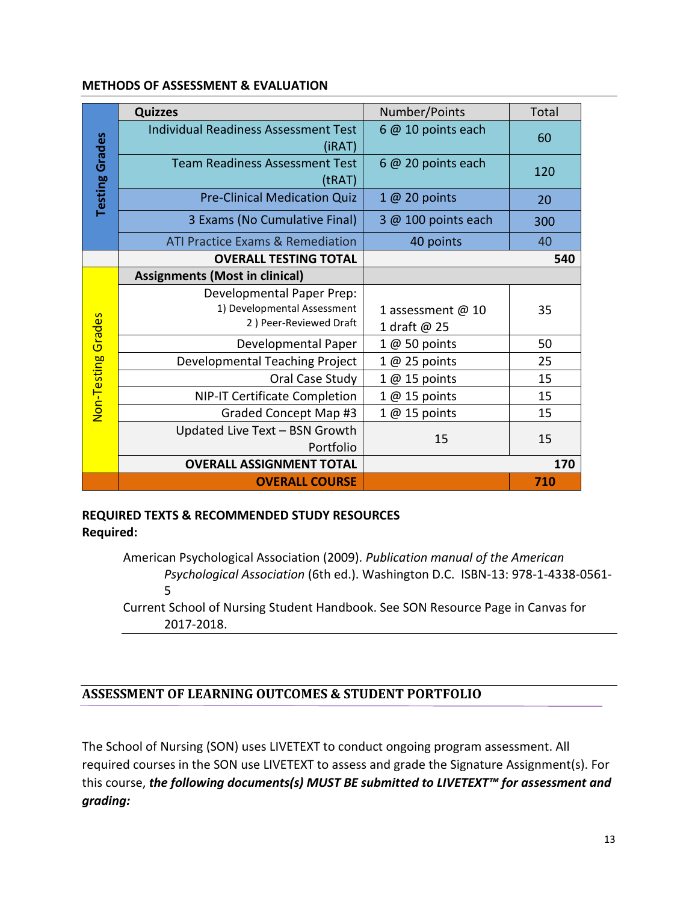#### **METHODS OF ASSESSMENT & EVALUATION**

|                       | <b>Quizzes</b>                                                                     | Number/Points                     | <b>Total</b> |
|-----------------------|------------------------------------------------------------------------------------|-----------------------------------|--------------|
|                       | <b>Individual Readiness Assessment Test</b><br>(iRAT)                              | $6@10$ points each                | 60           |
| <b>Testing Grades</b> | <b>Team Readiness Assessment Test</b><br>(tRAT)                                    | $6@20$ points each                | 120          |
|                       | <b>Pre-Clinical Medication Quiz</b>                                                | $1@20$ points                     | 20           |
|                       | 3 Exams (No Cumulative Final)                                                      | 3 @ 100 points each               | 300          |
|                       | <b>ATI Practice Exams &amp; Remediation</b>                                        | 40 points                         | 40           |
|                       | <b>OVERALL TESTING TOTAL</b>                                                       |                                   | 540          |
|                       | <b>Assignments (Most in clinical)</b>                                              |                                   |              |
|                       | Developmental Paper Prep:<br>1) Developmental Assessment<br>2) Peer-Reviewed Draft | 1 assessment @ 10<br>1 draft @ 25 | 35           |
| Non-Testing Grades    | Developmental Paper                                                                | $1@50$ points                     | 50           |
|                       | Developmental Teaching Project                                                     | $1@25$ points                     | 25           |
|                       | Oral Case Study                                                                    | $1@15$ points                     | 15           |
|                       | <b>NIP-IT Certificate Completion</b>                                               | $1@15$ points                     | 15           |
|                       | Graded Concept Map #3                                                              | $1@15$ points                     | 15           |
|                       | Updated Live Text - BSN Growth<br>Portfolio                                        | 15                                | 15           |
|                       | <b>OVERALL ASSIGNMENT TOTAL</b>                                                    |                                   | 170          |
|                       | <b>OVERALL COURSE</b>                                                              |                                   | 710          |

## **REQUIRED TEXTS & RECOMMENDED STUDY RESOURCES Required:**

American Psychological Association (2009). *Publication manual of the American Psychological Association* (6th ed.). Washington D.C. ISBN-13: 978-1-4338-0561- 5

Current School of Nursing Student Handbook. See SON Resource Page in Canvas for 2017-2018.

# **ASSESSMENT OF LEARNING OUTCOMES & STUDENT PORTFOLIO**

The School of Nursing (SON) uses LIVETEXT to conduct ongoing program assessment. All required courses in the SON use LIVETEXT to assess and grade the Signature Assignment(s). For this course, *the following documents(s) MUST BE submitted to LIVETEXT™ for assessment and grading:*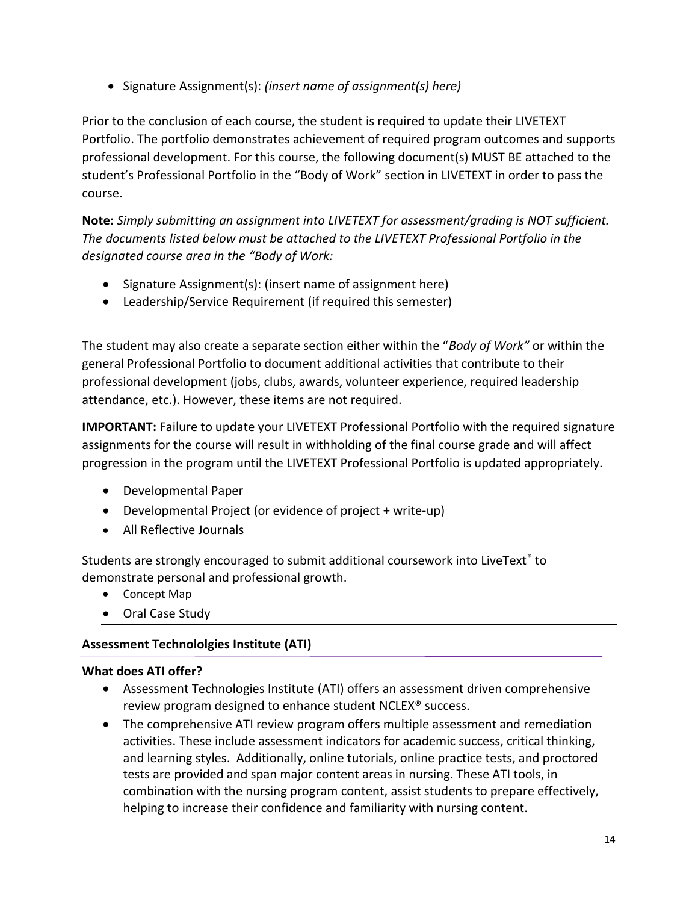• Signature Assignment(s): *(insert name of assignment(s) here)*

Prior to the conclusion of each course, the student is required to update their LIVETEXT Portfolio. The portfolio demonstrates achievement of required program outcomes and supports professional development. For this course, the following document(s) MUST BE attached to the student's Professional Portfolio in the "Body of Work" section in LIVETEXT in order to pass the course.

**Note:** *Simply submitting an assignment into LIVETEXT for assessment/grading is NOT sufficient. The documents listed below must be attached to the LIVETEXT Professional Portfolio in the designated course area in the "Body of Work:* 

- Signature Assignment(s): (insert name of assignment here)
- Leadership/Service Requirement (if required this semester)

The student may also create a separate section either within the "*Body of Work"* or within the general Professional Portfolio to document additional activities that contribute to their professional development (jobs, clubs, awards, volunteer experience, required leadership attendance, etc.). However, these items are not required.

**IMPORTANT:** Failure to update your LIVETEXT Professional Portfolio with the required signature assignments for the course will result in withholding of the final course grade and will affect progression in the program until the LIVETEXT Professional Portfolio is updated appropriately.

- Developmental Paper
- Developmental Project (or evidence of project + write-up)
- All Reflective Journals

Students are strongly encouraged to submit additional coursework into LiveText<sup>®</sup> to demonstrate personal and professional growth.

- Concept Map
- Oral Case Study

# **Assessment Technololgies Institute (ATI)**

# **What does ATI offer?**

- Assessment Technologies Institute (ATI) offers an assessment driven comprehensive review program designed to enhance student NCLEX® success.
- The comprehensive ATI review program offers multiple assessment and remediation activities. These include assessment indicators for academic success, critical thinking, and learning styles. Additionally, online tutorials, online practice tests, and proctored tests are provided and span major content areas in nursing. These ATI tools, in combination with the nursing program content, assist students to prepare effectively, helping to increase their confidence and familiarity with nursing content.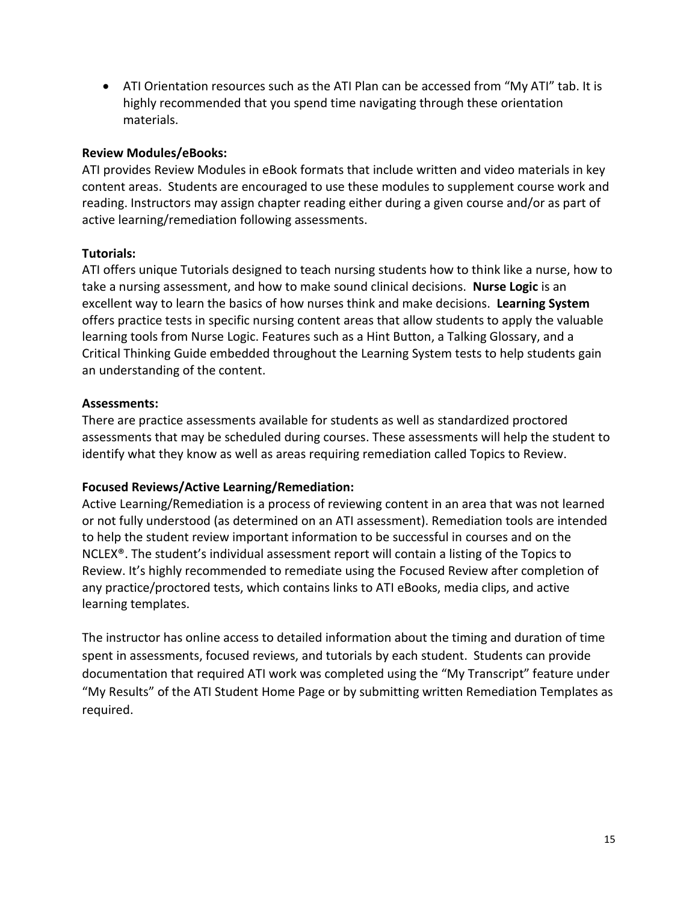• ATI Orientation resources such as the ATI Plan can be accessed from "My ATI" tab. It is highly recommended that you spend time navigating through these orientation materials.

### **Review Modules/eBooks:**

ATI provides Review Modules in eBook formats that include written and video materials in key content areas. Students are encouraged to use these modules to supplement course work and reading. Instructors may assign chapter reading either during a given course and/or as part of active learning/remediation following assessments.

## **Tutorials:**

ATI offers unique Tutorials designed to teach nursing students how to think like a nurse, how to take a nursing assessment, and how to make sound clinical decisions. **Nurse Logic** is an excellent way to learn the basics of how nurses think and make decisions. **Learning System**  offers practice tests in specific nursing content areas that allow students to apply the valuable learning tools from Nurse Logic. Features such as a Hint Button, a Talking Glossary, and a Critical Thinking Guide embedded throughout the Learning System tests to help students gain an understanding of the content.

## **Assessments:**

There are practice assessments available for students as well as standardized proctored assessments that may be scheduled during courses. These assessments will help the student to identify what they know as well as areas requiring remediation called Topics to Review.

### **Focused Reviews/Active Learning/Remediation:**

Active Learning/Remediation is a process of reviewing content in an area that was not learned or not fully understood (as determined on an ATI assessment). Remediation tools are intended to help the student review important information to be successful in courses and on the NCLEX®. The student's individual assessment report will contain a listing of the Topics to Review. It's highly recommended to remediate using the Focused Review after completion of any practice/proctored tests, which contains links to ATI eBooks, media clips, and active learning templates.

The instructor has online access to detailed information about the timing and duration of time spent in assessments, focused reviews, and tutorials by each student. Students can provide documentation that required ATI work was completed using the "My Transcript" feature under "My Results" of the ATI Student Home Page or by submitting written Remediation Templates as required.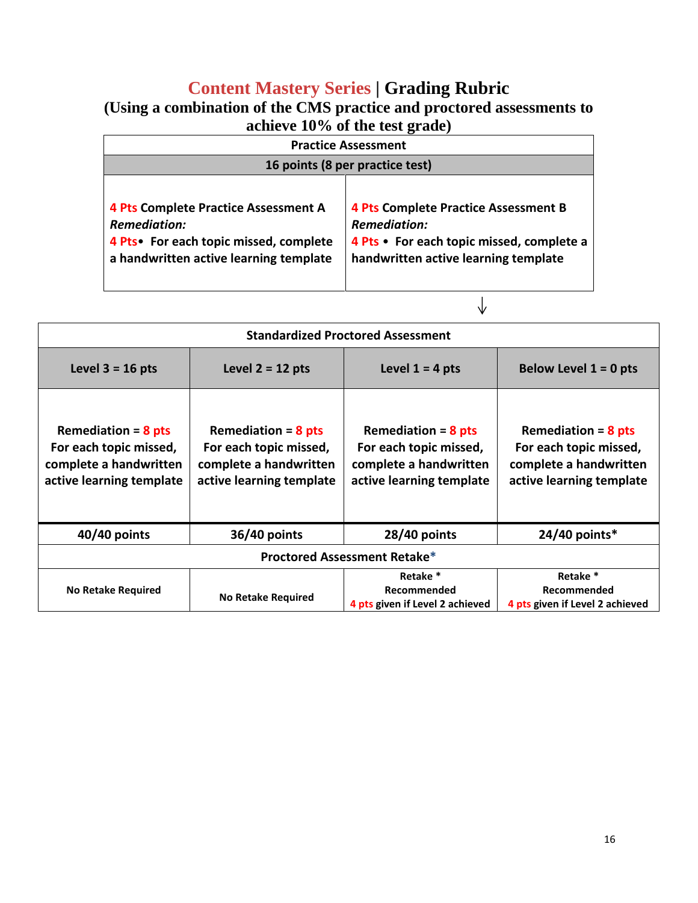# **Content Mastery Series | Grading Rubric**

| (Using a combination of the CMS practice and proctored assessments to |
|-----------------------------------------------------------------------|
| achieve $10\%$ of the test grade)                                     |

| <b>Practice Assessment</b>                                                                                                                              |                                                                                                                                                         |  |  |
|---------------------------------------------------------------------------------------------------------------------------------------------------------|---------------------------------------------------------------------------------------------------------------------------------------------------------|--|--|
|                                                                                                                                                         | 16 points (8 per practice test)                                                                                                                         |  |  |
| <b>4 Pts Complete Practice Assessment A</b><br><b>Remediation:</b><br>4 Pts • For each topic missed, complete<br>a handwritten active learning template | <b>4 Pts Complete Practice Assessment B</b><br><b>Remediation:</b><br>4 Pts • For each topic missed, complete a<br>handwritten active learning template |  |  |

|                                                                                                                                                                                                                |                           | <b>Standardized Proctored Assessment</b>                                                              |                                                                                                       |  |  |  |
|----------------------------------------------------------------------------------------------------------------------------------------------------------------------------------------------------------------|---------------------------|-------------------------------------------------------------------------------------------------------|-------------------------------------------------------------------------------------------------------|--|--|--|
| Level $2 = 12$ pts<br>Level $1 = 4$ pts<br>Below Level $1 = 0$ pts<br>Level $3 = 16$ pts                                                                                                                       |                           |                                                                                                       |                                                                                                       |  |  |  |
| Remediation = $8$ pts<br>Remediation = $8$ pts<br>For each topic missed,<br>For each topic missed,<br>complete a handwritten<br>complete a handwritten<br>active learning template<br>active learning template |                           | Remediation = $8$ pts<br>For each topic missed,<br>complete a handwritten<br>active learning template | Remediation = $8$ pts<br>For each topic missed,<br>complete a handwritten<br>active learning template |  |  |  |
| $40/40$ points<br>36/40 points                                                                                                                                                                                 |                           | 28/40 points                                                                                          | $24/40$ points*                                                                                       |  |  |  |
|                                                                                                                                                                                                                |                           | <b>Proctored Assessment Retake*</b>                                                                   |                                                                                                       |  |  |  |
| <b>No Retake Required</b>                                                                                                                                                                                      | <b>No Retake Required</b> | Retake *<br>Recommended<br>4 pts given if Level 2 achieved                                            | Retake *<br>Recommended<br>4 pts given if Level 2 achieved                                            |  |  |  |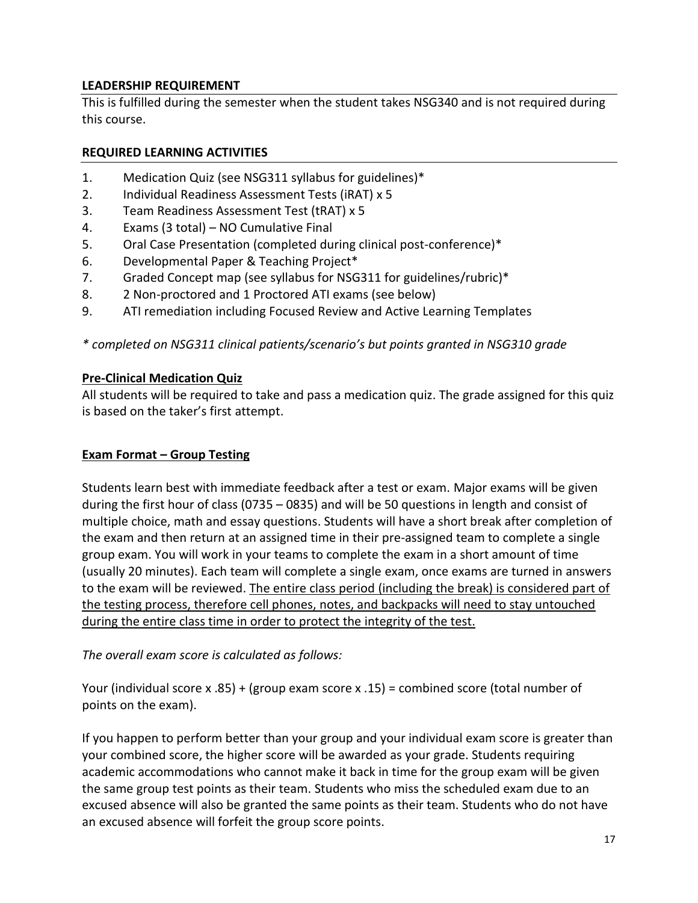# **LEADERSHIP REQUIREMENT**

This is fulfilled during the semester when the student takes NSG340 and is not required during this course.

## **REQUIRED LEARNING ACTIVITIES**

- 1. Medication Quiz (see NSG311 syllabus for guidelines)\*
- 2. Individual Readiness Assessment Tests (iRAT) x 5
- 3. Team Readiness Assessment Test (tRAT) x 5
- 4. Exams (3 total) NO Cumulative Final
- 5. Oral Case Presentation (completed during clinical post-conference)\*
- 6. Developmental Paper & Teaching Project\*
- 7. Graded Concept map (see syllabus for NSG311 for guidelines/rubric)\*
- 8. 2 Non-proctored and 1 Proctored ATI exams (see below)
- 9. ATI remediation including Focused Review and Active Learning Templates

## *\* completed on NSG311 clinical patients/scenario's but points granted in NSG310 grade*

### **Pre-Clinical Medication Quiz**

All students will be required to take and pass a medication quiz. The grade assigned for this quiz is based on the taker's first attempt.

### **Exam Format – Group Testing**

Students learn best with immediate feedback after a test or exam. Major exams will be given during the first hour of class (0735 – 0835) and will be 50 questions in length and consist of multiple choice, math and essay questions. Students will have a short break after completion of the exam and then return at an assigned time in their pre-assigned team to complete a single group exam. You will work in your teams to complete the exam in a short amount of time (usually 20 minutes). Each team will complete a single exam, once exams are turned in answers to the exam will be reviewed. The entire class period (including the break) is considered part of the testing process, therefore cell phones, notes, and backpacks will need to stay untouched during the entire class time in order to protect the integrity of the test.

*The overall exam score is calculated as follows:*

Your (individual score x .85) + (group exam score x .15) = combined score (total number of points on the exam).

If you happen to perform better than your group and your individual exam score is greater than your combined score, the higher score will be awarded as your grade. Students requiring academic accommodations who cannot make it back in time for the group exam will be given the same group test points as their team. Students who miss the scheduled exam due to an excused absence will also be granted the same points as their team. Students who do not have an excused absence will forfeit the group score points.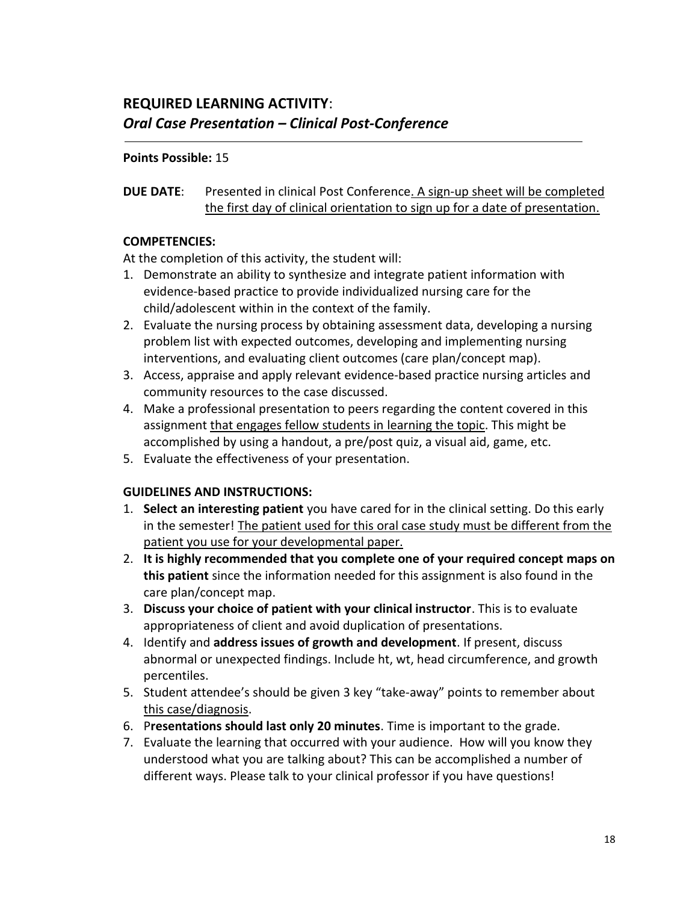### **Points Possible:** 15

# **DUE DATE**: Presented in clinical Post Conference. A sign-up sheet will be completed the first day of clinical orientation to sign up for a date of presentation.

## **COMPETENCIES:**

At the completion of this activity, the student will:

- 1. Demonstrate an ability to synthesize and integrate patient information with evidence-based practice to provide individualized nursing care for the child/adolescent within in the context of the family.
- 2. Evaluate the nursing process by obtaining assessment data, developing a nursing problem list with expected outcomes, developing and implementing nursing interventions, and evaluating client outcomes (care plan/concept map).
- 3. Access, appraise and apply relevant evidence-based practice nursing articles and community resources to the case discussed.
- 4. Make a professional presentation to peers regarding the content covered in this assignment that engages fellow students in learning the topic. This might be accomplished by using a handout, a pre/post quiz, a visual aid, game, etc.
- 5. Evaluate the effectiveness of your presentation.

# **GUIDELINES AND INSTRUCTIONS:**

- 1. **Select an interesting patient** you have cared for in the clinical setting. Do this early in the semester! The patient used for this oral case study must be different from the patient you use for your developmental paper.
- 2. **It is highly recommended that you complete one of your required concept maps on this patient** since the information needed for this assignment is also found in the care plan/concept map.
- 3. **Discuss your choice of patient with your clinical instructor**. This is to evaluate appropriateness of client and avoid duplication of presentations.
- 4. Identify and **address issues of growth and development**. If present, discuss abnormal or unexpected findings. Include ht, wt, head circumference, and growth percentiles.
- 5. Student attendee's should be given 3 key "take-away" points to remember about this case/diagnosis.
- 6. P**resentations should last only 20 minutes**. Time is important to the grade.
- 7. Evaluate the learning that occurred with your audience. How will you know they understood what you are talking about? This can be accomplished a number of different ways. Please talk to your clinical professor if you have questions!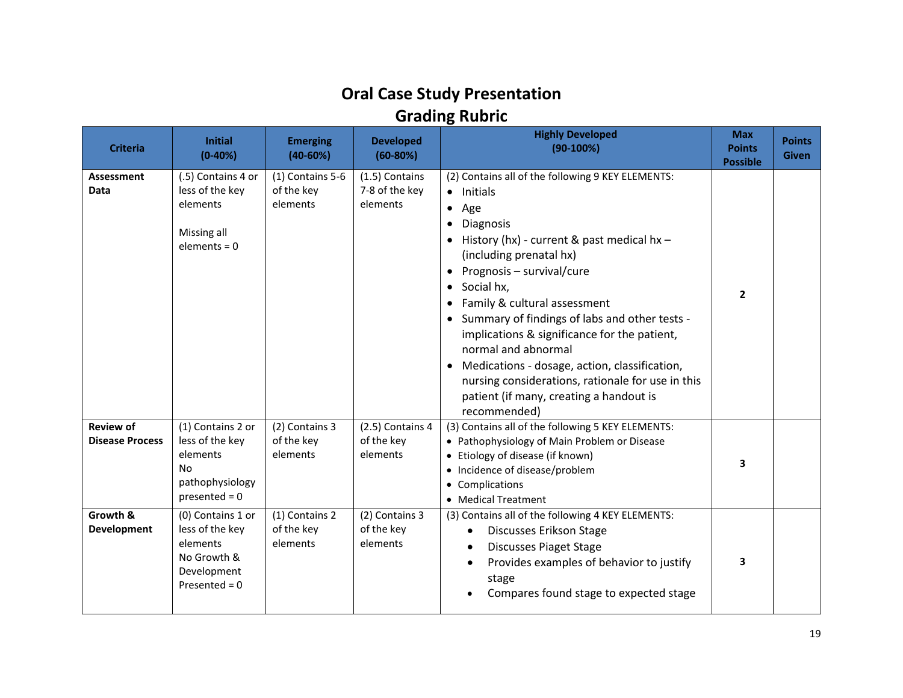# **Oral Case Study Presentation Grading Rubric**

| <b>Criteria</b>                            | <b>Initial</b><br>$(0-40%)$                                                                       | <b>Emerging</b><br>$(40-60%)$              | <b>Developed</b><br>$(60-80%)$               | <b>Highly Developed</b><br>$(90-100%)$                                                                                                                                                                                                                                                                                                                                                                                                                                                                                                                                                                                    | <b>Max</b><br><b>Points</b><br><b>Possible</b> | <b>Points</b><br><b>Given</b> |
|--------------------------------------------|---------------------------------------------------------------------------------------------------|--------------------------------------------|----------------------------------------------|---------------------------------------------------------------------------------------------------------------------------------------------------------------------------------------------------------------------------------------------------------------------------------------------------------------------------------------------------------------------------------------------------------------------------------------------------------------------------------------------------------------------------------------------------------------------------------------------------------------------------|------------------------------------------------|-------------------------------|
| Assessment<br><b>Data</b>                  | (.5) Contains 4 or<br>less of the key<br>elements<br>Missing all<br>$elements = 0$                | (1) Contains 5-6<br>of the key<br>elements | (1.5) Contains<br>7-8 of the key<br>elements | (2) Contains all of the following 9 KEY ELEMENTS:<br>Initials<br>$\bullet$<br>Age<br>$\bullet$<br>Diagnosis<br>$\bullet$<br>History (hx) - current & past medical hx -<br>$\bullet$<br>(including prenatal hx)<br>Prognosis - survival/cure<br>$\bullet$<br>Social hx,<br>$\bullet$<br>Family & cultural assessment<br>Summary of findings of labs and other tests -<br>implications & significance for the patient,<br>normal and abnormal<br>Medications - dosage, action, classification,<br>$\bullet$<br>nursing considerations, rationale for use in this<br>patient (if many, creating a handout is<br>recommended) | $\overline{2}$                                 |                               |
| <b>Review of</b><br><b>Disease Process</b> | (1) Contains 2 or<br>less of the key<br>elements<br>No<br>pathophysiology<br>$presented = 0$      | (2) Contains 3<br>of the key<br>elements   | (2.5) Contains 4<br>of the key<br>elements   | (3) Contains all of the following 5 KEY ELEMENTS:<br>• Pathophysiology of Main Problem or Disease<br>• Etiology of disease (if known)<br>• Incidence of disease/problem<br>• Complications<br>• Medical Treatment                                                                                                                                                                                                                                                                                                                                                                                                         | 3                                              |                               |
| Growth &<br><b>Development</b>             | (0) Contains 1 or<br>less of the key<br>elements<br>No Growth &<br>Development<br>Presented = $0$ | (1) Contains 2<br>of the key<br>elements   | (2) Contains 3<br>of the key<br>elements     | (3) Contains all of the following 4 KEY ELEMENTS:<br><b>Discusses Erikson Stage</b><br><b>Discusses Piaget Stage</b><br>Provides examples of behavior to justify<br>stage<br>Compares found stage to expected stage                                                                                                                                                                                                                                                                                                                                                                                                       | 3                                              |                               |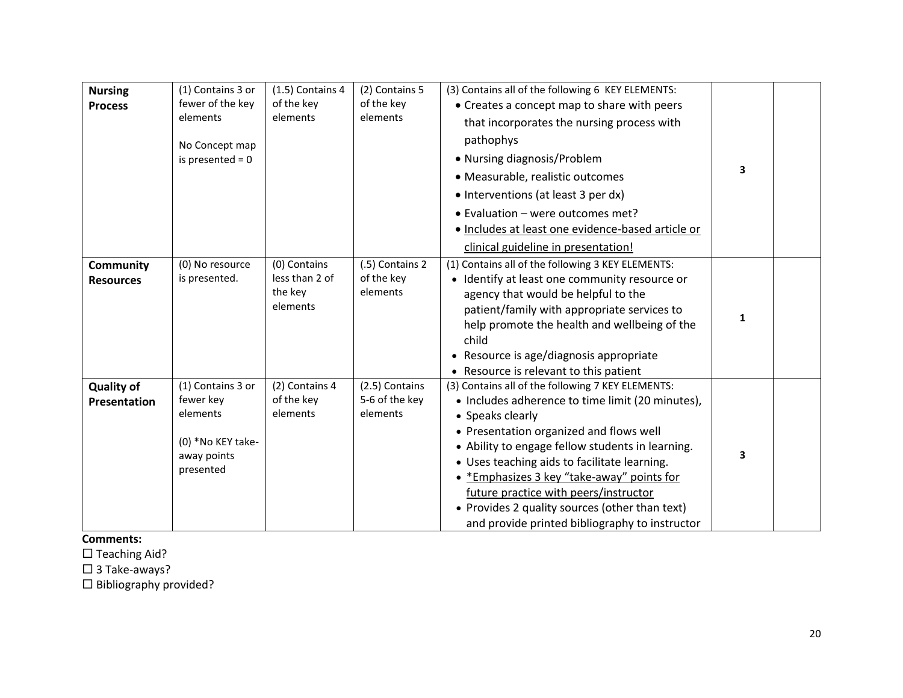| <b>Nursing</b><br><b>Process</b>     | (1) Contains 3 or<br>fewer of the key<br>elements<br>No Concept map<br>is presented $= 0$   | (1.5) Contains 4<br>of the key<br>elements            | (2) Contains 5<br>of the key<br>elements     | (3) Contains all of the following 6 KEY ELEMENTS:<br>• Creates a concept map to share with peers<br>that incorporates the nursing process with<br>pathophys<br>• Nursing diagnosis/Problem<br>• Measurable, realistic outcomes<br>• Interventions (at least 3 per dx)<br>• Evaluation - were outcomes met?<br>· Includes at least one evidence-based article or<br>clinical guideline in presentation!                                                              | $\overline{\mathbf{3}}$ |  |
|--------------------------------------|---------------------------------------------------------------------------------------------|-------------------------------------------------------|----------------------------------------------|---------------------------------------------------------------------------------------------------------------------------------------------------------------------------------------------------------------------------------------------------------------------------------------------------------------------------------------------------------------------------------------------------------------------------------------------------------------------|-------------------------|--|
| <b>Community</b><br><b>Resources</b> | (0) No resource<br>is presented.                                                            | (0) Contains<br>less than 2 of<br>the key<br>elements | (.5) Contains 2<br>of the key<br>elements    | (1) Contains all of the following 3 KEY ELEMENTS:<br>• Identify at least one community resource or<br>agency that would be helpful to the<br>patient/family with appropriate services to<br>help promote the health and wellbeing of the<br>child<br>• Resource is age/diagnosis appropriate<br>• Resource is relevant to this patient                                                                                                                              | 1                       |  |
| <b>Quality of</b><br>Presentation    | (1) Contains 3 or<br>fewer key<br>elements<br>(0) *No KEY take-<br>away points<br>presented | (2) Contains 4<br>of the key<br>elements              | (2.5) Contains<br>5-6 of the key<br>elements | (3) Contains all of the following 7 KEY ELEMENTS:<br>• Includes adherence to time limit (20 minutes),<br>• Speaks clearly<br>• Presentation organized and flows well<br>• Ability to engage fellow students in learning.<br>• Uses teaching aids to facilitate learning.<br>• *Emphasizes 3 key "take-away" points for<br>future practice with peers/instructor<br>• Provides 2 quality sources (other than text)<br>and provide printed bibliography to instructor | 3                       |  |

**Comments:**

 $\square$  Teaching Aid?

□ 3 Take-aways?

 $\square$  Bibliography provided?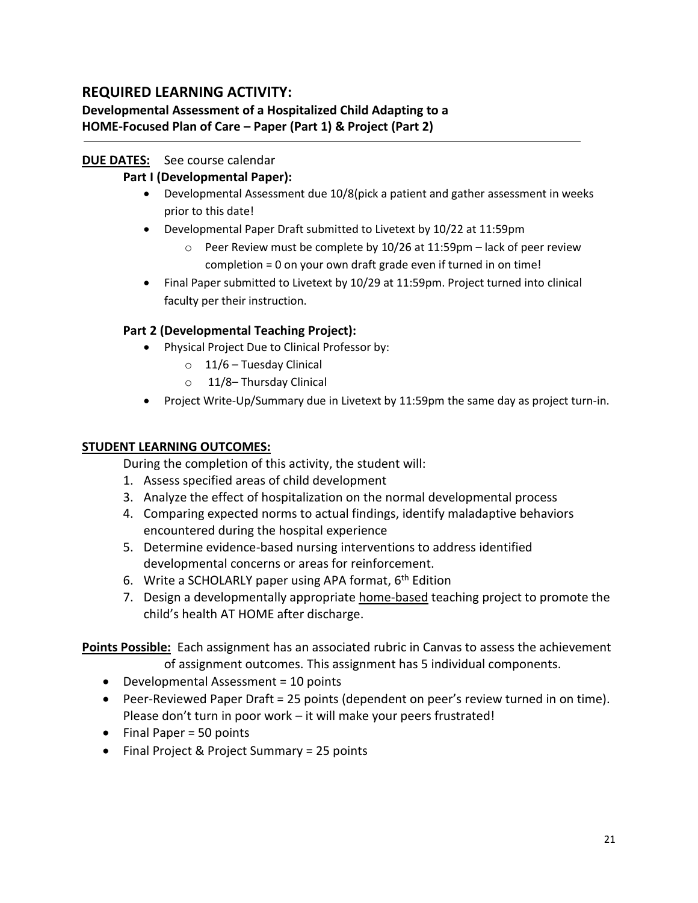# **REQUIRED LEARNING ACTIVITY:**

# **Developmental Assessment of a Hospitalized Child Adapting to a HOME-Focused Plan of Care – Paper (Part 1) & Project (Part 2)**

# **DUE DATES:** See course calendar

## **Part I (Developmental Paper):**

- Developmental Assessment due 10/8(pick a patient and gather assessment in weeks prior to this date!
- Developmental Paper Draft submitted to Livetext by 10/22 at 11:59pm
	- $\circ$  Peer Review must be complete by 10/26 at 11:59pm lack of peer review completion = 0 on your own draft grade even if turned in on time!
- Final Paper submitted to Livetext by 10/29 at 11:59pm. Project turned into clinical faculty per their instruction.

## **Part 2 (Developmental Teaching Project):**

- Physical Project Due to Clinical Professor by:
	- $\circ$  11/6 Tuesday Clinical
	- o 11/8– Thursday Clinical
- Project Write-Up/Summary due in Livetext by 11:59pm the same day as project turn-in.

## **STUDENT LEARNING OUTCOMES:**

During the completion of this activity, the student will:

- 1. Assess specified areas of child development
- 3. Analyze the effect of hospitalization on the normal developmental process
- 4. Comparing expected norms to actual findings, identify maladaptive behaviors encountered during the hospital experience
- 5. Determine evidence-based nursing interventions to address identified developmental concerns or areas for reinforcement.
- 6. Write a SCHOLARLY paper using APA format, 6<sup>th</sup> Edition
- 7. Design a developmentally appropriate home-based teaching project to promote the child's health AT HOME after discharge.

**Points Possible:** Each assignment has an associated rubric in Canvas to assess the achievement of assignment outcomes. This assignment has 5 individual components.

- Developmental Assessment = 10 points
- Peer-Reviewed Paper Draft = 25 points (dependent on peer's review turned in on time). Please don't turn in poor work – it will make your peers frustrated!
- Final Paper = 50 points
- Final Project & Project Summary = 25 points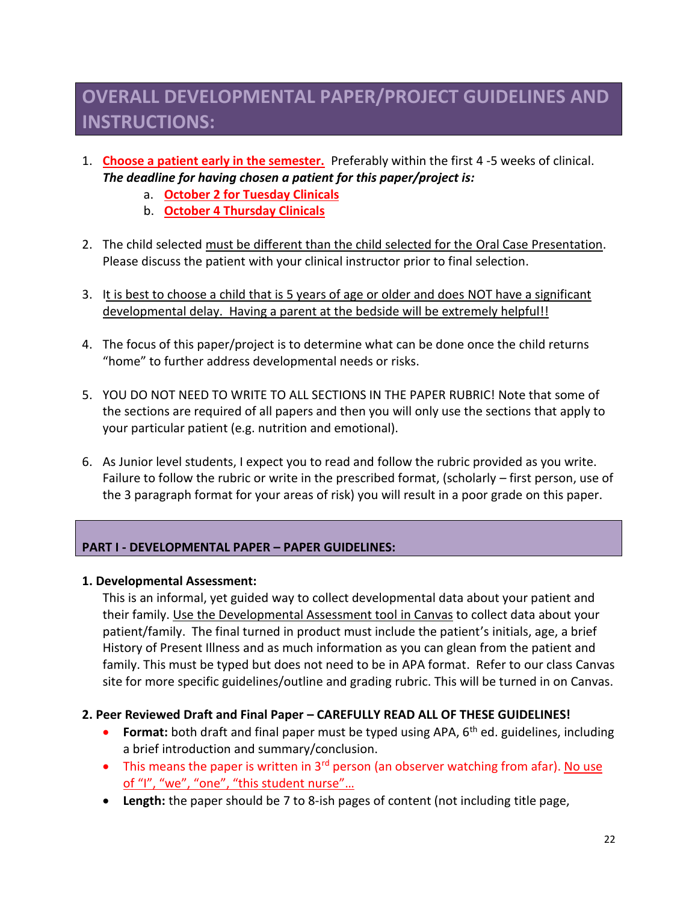# **OVERALL DEVELOPMENTAL PAPER/PROJECT GUIDELINES AND INSTRUCTIONS:**

- 1. **Choose a patient early in the semester.** Preferably within the first 4 -5 weeks of clinical. *The deadline for having chosen a patient for this paper/project is:*
	- a. **October 2 for Tuesday Clinicals**
	- b. **October 4 Thursday Clinicals**
- 2. The child selected must be different than the child selected for the Oral Case Presentation. Please discuss the patient with your clinical instructor prior to final selection.
- 3. It is best to choose a child that is 5 years of age or older and does NOT have a significant developmental delay. Having a parent at the bedside will be extremely helpful!!
- 4. The focus of this paper/project is to determine what can be done once the child returns "home" to further address developmental needs or risks.
- 5. YOU DO NOT NEED TO WRITE TO ALL SECTIONS IN THE PAPER RUBRIC! Note that some of the sections are required of all papers and then you will only use the sections that apply to your particular patient (e.g. nutrition and emotional).
- 6. As Junior level students, I expect you to read and follow the rubric provided as you write. Failure to follow the rubric or write in the prescribed format, (scholarly – first person, use of the 3 paragraph format for your areas of risk) you will result in a poor grade on this paper.

## **PART I - DEVELOPMENTAL PAPER – PAPER GUIDELINES:**

#### **1. Developmental Assessment:**

This is an informal, yet guided way to collect developmental data about your patient and their family. Use the Developmental Assessment tool in Canvas to collect data about your patient/family. The final turned in product must include the patient's initials, age, a brief History of Present Illness and as much information as you can glean from the patient and family. This must be typed but does not need to be in APA format. Refer to our class Canvas site for more specific guidelines/outline and grading rubric. This will be turned in on Canvas.

### **2. Peer Reviewed Draft and Final Paper – CAREFULLY READ ALL OF THESE GUIDELINES!**

- **Format:** both draft and final paper must be typed using APA, 6<sup>th</sup> ed. guidelines, including a brief introduction and summary/conclusion.
- This means the paper is written in  $3^{rd}$  person (an observer watching from afar). No use of "I", "we", "one", "this student nurse"...
- **Length:** the paper should be 7 to 8-ish pages of content (not including title page,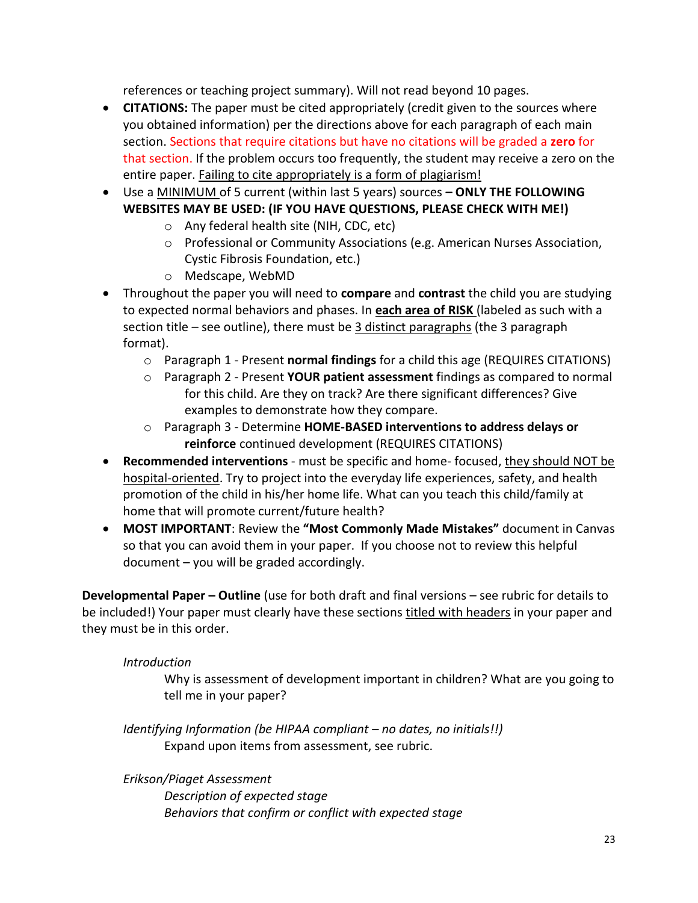references or teaching project summary). Will not read beyond 10 pages.

- **CITATIONS:** The paper must be cited appropriately (credit given to the sources where you obtained information) per the directions above for each paragraph of each main section. Sections that require citations but have no citations will be graded a **zero** for that section. If the problem occurs too frequently, the student may receive a zero on the entire paper. Failing to cite appropriately is a form of plagiarism!
- Use a MINIMUM of 5 current (within last 5 years) sources **– ONLY THE FOLLOWING WEBSITES MAY BE USED: (IF YOU HAVE QUESTIONS, PLEASE CHECK WITH ME!)**
	- o Any federal health site (NIH, CDC, etc)
	- o Professional or Community Associations (e.g. American Nurses Association, Cystic Fibrosis Foundation, etc.)
	- o Medscape, WebMD
- Throughout the paper you will need to **compare** and **contrast** the child you are studying to expected normal behaviors and phases. In **each area of RISK** (labeled as such with a section title – see outline), there must be 3 distinct paragraphs (the 3 paragraph format).
	- o Paragraph 1 Present **normal findings** for a child this age (REQUIRES CITATIONS)
	- o Paragraph 2 Present **YOUR patient assessment** findings as compared to normal for this child. Are they on track? Are there significant differences? Give examples to demonstrate how they compare.
	- o Paragraph 3 Determine **HOME-BASED interventions to address delays or reinforce** continued development (REQUIRES CITATIONS)
- **Recommended interventions** must be specific and home- focused, they should NOT be hospital-oriented. Try to project into the everyday life experiences, safety, and health promotion of the child in his/her home life. What can you teach this child/family at home that will promote current/future health?
- **MOST IMPORTANT**: Review the **"Most Commonly Made Mistakes"** document in Canvas so that you can avoid them in your paper. If you choose not to review this helpful document – you will be graded accordingly.

**Developmental Paper – Outline** (use for both draft and final versions – see rubric for details to be included!) Your paper must clearly have these sections titled with headers in your paper and they must be in this order.

# *Introduction*

Why is assessment of development important in children? What are you going to tell me in your paper?

*Identifying Information (be HIPAA compliant – no dates, no initials!!)* Expand upon items from assessment, see rubric.

*Erikson/Piaget Assessment Description of expected stage Behaviors that confirm or conflict with expected stage*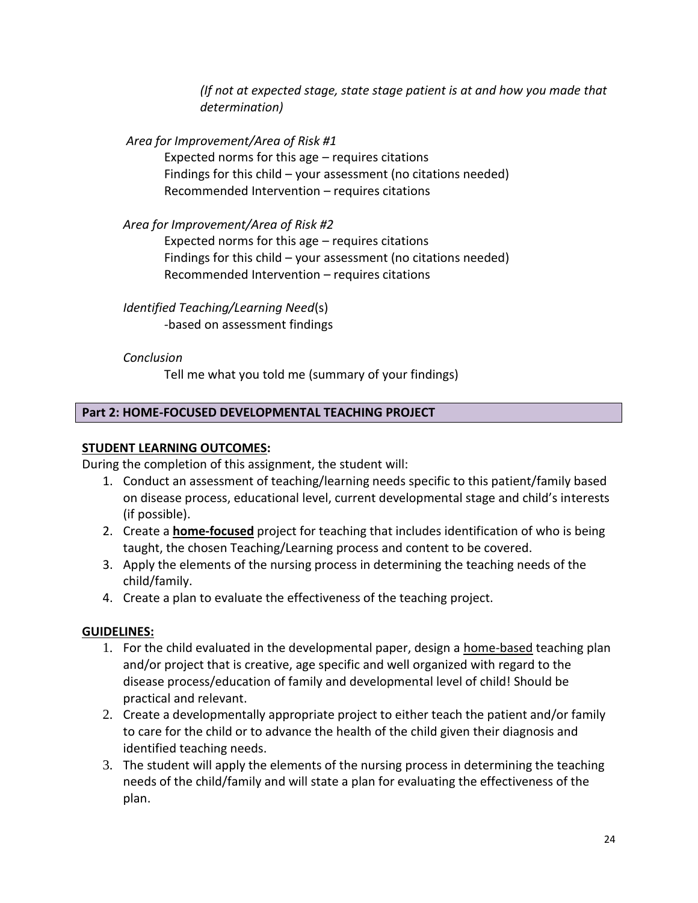*(If not at expected stage, state stage patient is at and how you made that determination)*

*Area for Improvement/Area of Risk #1*

Expected norms for this age – requires citations Findings for this child – your assessment (no citations needed) Recommended Intervention – requires citations

*Area for Improvement/Area of Risk #2*

Expected norms for this age – requires citations Findings for this child – your assessment (no citations needed) Recommended Intervention – requires citations

# *Identified Teaching/Learning Need*(s)

*-*based on assessment findings

# *Conclusion*

Tell me what you told me (summary of your findings)

# **Part 2: HOME-FOCUSED DEVELOPMENTAL TEACHING PROJECT**

# **STUDENT LEARNING OUTCOMES:**

During the completion of this assignment, the student will:

- 1. Conduct an assessment of teaching/learning needs specific to this patient/family based on disease process, educational level, current developmental stage and child's interests (if possible).
- 2. Create a **home-focused** project for teaching that includes identification of who is being taught, the chosen Teaching/Learning process and content to be covered.
- 3. Apply the elements of the nursing process in determining the teaching needs of the child/family.
- 4. Create a plan to evaluate the effectiveness of the teaching project.

# **GUIDELINES:**

- 1. For the child evaluated in the developmental paper, design a home-based teaching plan and/or project that is creative, age specific and well organized with regard to the disease process/education of family and developmental level of child! Should be practical and relevant.
- 2. Create a developmentally appropriate project to either teach the patient and/or family to care for the child or to advance the health of the child given their diagnosis and identified teaching needs.
- 3. The student will apply the elements of the nursing process in determining the teaching needs of the child/family and will state a plan for evaluating the effectiveness of the plan.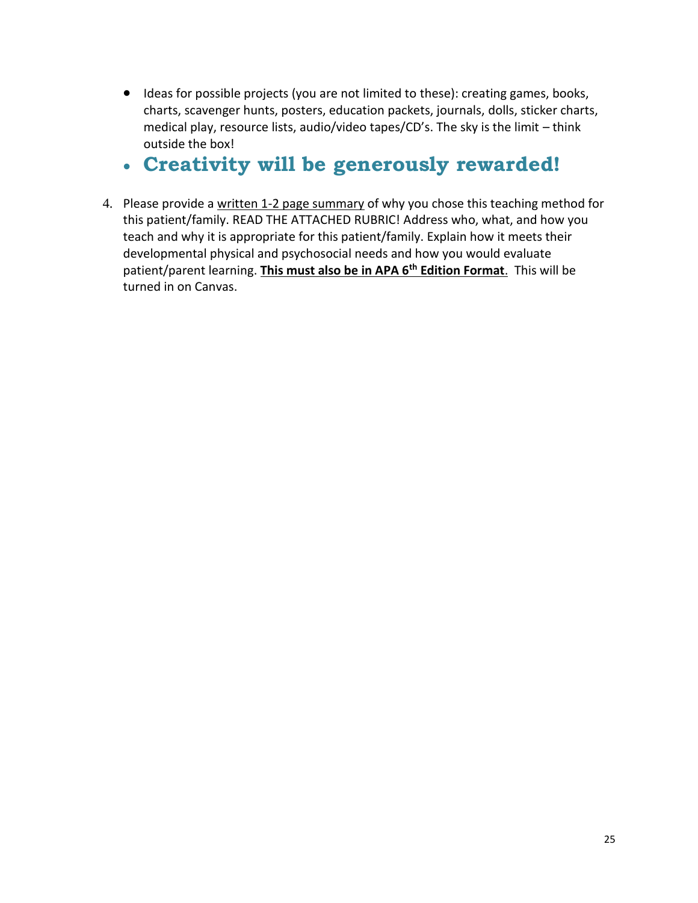• Ideas for possible projects (you are not limited to these): creating games, books, charts, scavenger hunts, posters, education packets, journals, dolls, sticker charts, medical play, resource lists, audio/video tapes/CD's. The sky is the limit – think outside the box!

# • **Creativity will be generously rewarded!**

4. Please provide a written 1-2 page summary of why you chose this teaching method for this patient/family. READ THE ATTACHED RUBRIC! Address who, what, and how you teach and why it is appropriate for this patient/family. Explain how it meets their developmental physical and psychosocial needs and how you would evaluate patient/parent learning. **This must also be in APA 6th Edition Format**. This will be turned in on Canvas.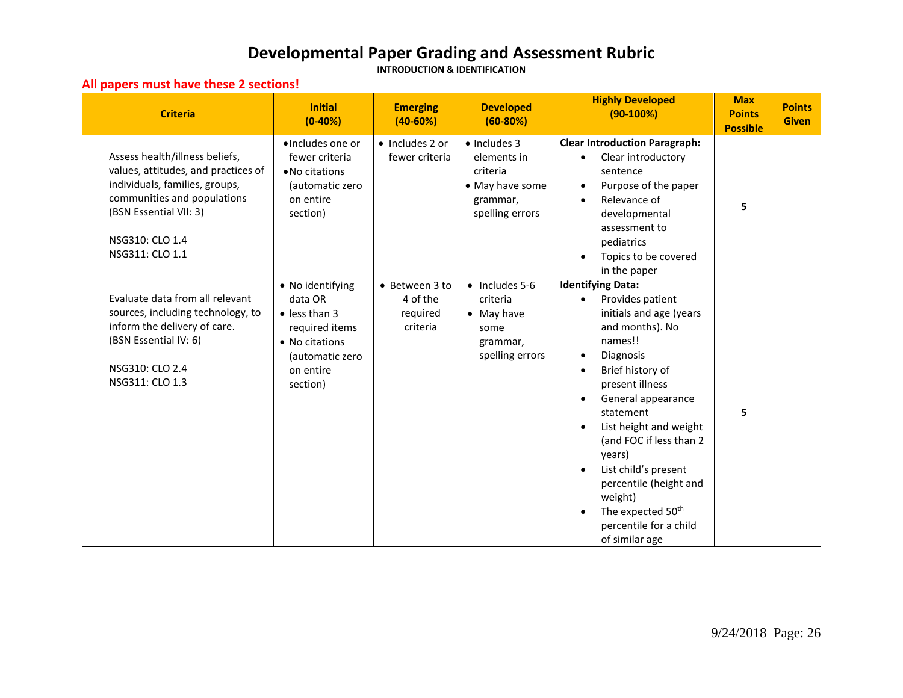# **Developmental Paper Grading and Assessment Rubric**

**INTRODUCTION & IDENTIFICATION**

### **All papers must have these 2 sections!**

| <b>Criteria</b>                                                                                                                                                                                        | <b>Initial</b><br>$(0-40%)$                                                                                                          | <b>Emerging</b><br>$(40-60%)$                      | <b>Developed</b><br>$(60-80%)$                                                                    | <b>Highly Developed</b><br>$(90-100%)$                                                                                                                                                                                                                                                                                                                                                                                          | <b>Max</b><br><b>Points</b><br><b>Possible</b> | <b>Points</b><br><b>Given</b> |
|--------------------------------------------------------------------------------------------------------------------------------------------------------------------------------------------------------|--------------------------------------------------------------------------------------------------------------------------------------|----------------------------------------------------|---------------------------------------------------------------------------------------------------|---------------------------------------------------------------------------------------------------------------------------------------------------------------------------------------------------------------------------------------------------------------------------------------------------------------------------------------------------------------------------------------------------------------------------------|------------------------------------------------|-------------------------------|
| Assess health/illness beliefs,<br>values, attitudes, and practices of<br>individuals, families, groups,<br>communities and populations<br>(BSN Essential VII: 3)<br>NSG310: CLO 1.4<br>NSG311: CLO 1.1 | ·Includes one or<br>fewer criteria<br>• No citations<br>(automatic zero<br>on entire<br>section)                                     | · Includes 2 or<br>fewer criteria                  | $\bullet$ Includes 3<br>elements in<br>criteria<br>• May have some<br>grammar,<br>spelling errors | <b>Clear Introduction Paragraph:</b><br>Clear introductory<br>$\bullet$<br>sentence<br>Purpose of the paper<br>$\bullet$<br>Relevance of<br>developmental<br>assessment to<br>pediatrics<br>Topics to be covered<br>in the paper                                                                                                                                                                                                | 5                                              |                               |
| Evaluate data from all relevant<br>sources, including technology, to<br>inform the delivery of care.<br>(BSN Essential IV: 6)<br>NSG310: CLO 2.4<br>NSG311: CLO 1.3                                    | • No identifying<br>data OR<br>$\bullet$ less than 3<br>required items<br>• No citations<br>(automatic zero<br>on entire<br>section) | • Between 3 to<br>4 of the<br>required<br>criteria | $\bullet$ Includes 5-6<br>criteria<br>$\bullet$ May have<br>some<br>grammar,<br>spelling errors   | <b>Identifying Data:</b><br>Provides patient<br>initials and age (years<br>and months). No<br>names!!<br>Diagnosis<br>$\bullet$<br>Brief history of<br>present illness<br>General appearance<br>$\bullet$<br>statement<br>List height and weight<br>(and FOC if less than 2<br>years)<br>List child's present<br>percentile (height and<br>weight)<br>The expected 50 <sup>th</sup><br>percentile for a child<br>of similar age | 5                                              |                               |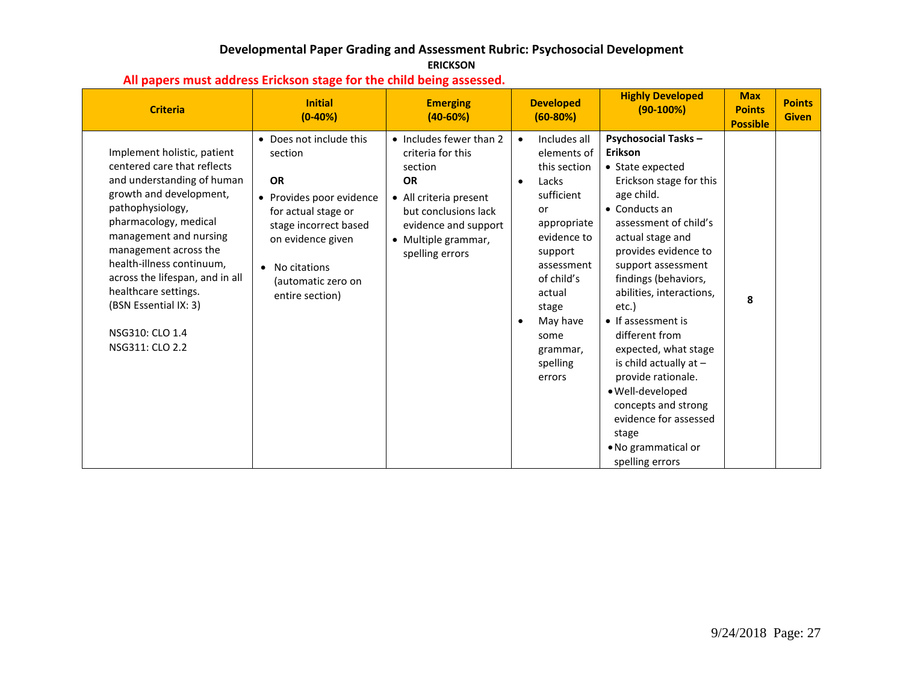### **Developmental Paper Grading and Assessment Rubric: Psychosocial Development ERICKSON**

| <b>Criteria</b>                                                                                                                                                                                                                                                                                                                                                            | <b>Initial</b><br>$(0-40%)$                                                                                                                                                                                 | <b>Emerging</b><br>$(40-60%)$                                                                                                                                                            | <b>Developed</b><br>$(60-80%)$                                                                                                                                                                                                                   | <b>Highly Developed</b><br>$(90-100%)$                                                                                                                                                                                                                                                                                                                                                                                                                                                                                        | <b>Max</b><br><b>Points</b><br><b>Possible</b> | <b>Points</b><br><b>Given</b> |
|----------------------------------------------------------------------------------------------------------------------------------------------------------------------------------------------------------------------------------------------------------------------------------------------------------------------------------------------------------------------------|-------------------------------------------------------------------------------------------------------------------------------------------------------------------------------------------------------------|------------------------------------------------------------------------------------------------------------------------------------------------------------------------------------------|--------------------------------------------------------------------------------------------------------------------------------------------------------------------------------------------------------------------------------------------------|-------------------------------------------------------------------------------------------------------------------------------------------------------------------------------------------------------------------------------------------------------------------------------------------------------------------------------------------------------------------------------------------------------------------------------------------------------------------------------------------------------------------------------|------------------------------------------------|-------------------------------|
| Implement holistic, patient<br>centered care that reflects<br>and understanding of human<br>growth and development,<br>pathophysiology,<br>pharmacology, medical<br>management and nursing<br>management across the<br>health-illness continuum,<br>across the lifespan, and in all<br>healthcare settings.<br>(BSN Essential IX: 3)<br>NSG310: CLO 1.4<br>NSG311: CLO 2.2 | • Does not include this<br>section<br><b>OR</b><br>• Provides poor evidence<br>for actual stage or<br>stage incorrect based<br>on evidence given<br>• No citations<br>(automatic zero on<br>entire section) | • Includes fewer than 2<br>criteria for this<br>section<br><b>OR</b><br>• All criteria present<br>but conclusions lack<br>evidence and support<br>• Multiple grammar,<br>spelling errors | Includes all<br>$\bullet$<br>elements of<br>this section<br>Lacks<br>$\bullet$<br>sufficient<br>or<br>appropriate<br>evidence to<br>support<br>assessment<br>of child's<br>actual<br>stage<br>May have<br>some<br>grammar,<br>spelling<br>errors | <b>Psychosocial Tasks -</b><br>Erikson<br>• State expected<br>Erickson stage for this<br>age child.<br>$\bullet$ Conducts an<br>assessment of child's<br>actual stage and<br>provides evidence to<br>support assessment<br>findings (behaviors,<br>abilities, interactions,<br>etc.)<br>• If assessment is<br>different from<br>expected, what stage<br>is child actually at $-$<br>provide rationale.<br>· Well-developed<br>concepts and strong<br>evidence for assessed<br>stage<br>• No grammatical or<br>spelling errors | 8                                              |                               |

# **All papers must address Erickson stage for the child being assessed.**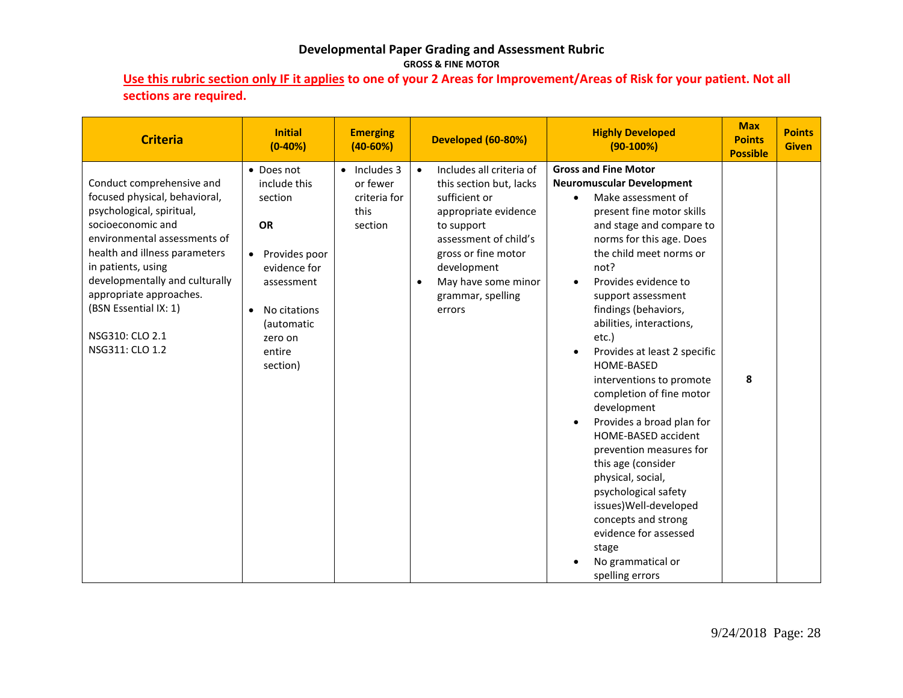### **Developmental Paper Grading and Assessment Rubric GROSS & FINE MOTOR**

**Use this rubric section only IF it applies to one of your 2 Areas for Improvement/Areas of Risk for your patient. Not all sections are required.**

| <b>Criteria</b>                                                                                                                                                                                                                                                                                                                 | <b>Initial</b><br>$(0-40%)$                                                                                                                                      | <b>Emerging</b><br>$(40-60%)$                                       | Developed (60-80%)                                                                                                                                                                                                                                        | <b>Highly Developed</b><br>$(90-100%)$                                                                                                                                                                                                                                                                                                                                                                                                                                                                                                                                                                                                                                                                                                  | <b>Max</b><br><b>Points</b><br><b>Possible</b> | <b>Points</b><br><b>Given</b> |
|---------------------------------------------------------------------------------------------------------------------------------------------------------------------------------------------------------------------------------------------------------------------------------------------------------------------------------|------------------------------------------------------------------------------------------------------------------------------------------------------------------|---------------------------------------------------------------------|-----------------------------------------------------------------------------------------------------------------------------------------------------------------------------------------------------------------------------------------------------------|-----------------------------------------------------------------------------------------------------------------------------------------------------------------------------------------------------------------------------------------------------------------------------------------------------------------------------------------------------------------------------------------------------------------------------------------------------------------------------------------------------------------------------------------------------------------------------------------------------------------------------------------------------------------------------------------------------------------------------------------|------------------------------------------------|-------------------------------|
| Conduct comprehensive and<br>focused physical, behavioral,<br>psychological, spiritual,<br>socioeconomic and<br>environmental assessments of<br>health and illness parameters<br>in patients, using<br>developmentally and culturally<br>appropriate approaches.<br>(BSN Essential IX: 1)<br>NSG310: CLO 2.1<br>NSG311: CLO 1.2 | • Does not<br>include this<br>section<br><b>OR</b><br>Provides poor<br>evidence for<br>assessment<br>No citations<br>(automatic<br>zero on<br>entire<br>section) | $\bullet$ Includes 3<br>or fewer<br>criteria for<br>this<br>section | Includes all criteria of<br>$\bullet$<br>this section but, lacks<br>sufficient or<br>appropriate evidence<br>to support<br>assessment of child's<br>gross or fine motor<br>development<br>May have some minor<br>$\bullet$<br>grammar, spelling<br>errors | <b>Gross and Fine Motor</b><br><b>Neuromuscular Development</b><br>Make assessment of<br>present fine motor skills<br>and stage and compare to<br>norms for this age. Does<br>the child meet norms or<br>not?<br>Provides evidence to<br>$\bullet$<br>support assessment<br>findings (behaviors,<br>abilities, interactions,<br>etc.)<br>Provides at least 2 specific<br>HOME-BASED<br>interventions to promote<br>completion of fine motor<br>development<br>Provides a broad plan for<br>HOME-BASED accident<br>prevention measures for<br>this age (consider<br>physical, social,<br>psychological safety<br>issues) Well-developed<br>concepts and strong<br>evidence for assessed<br>stage<br>No grammatical or<br>spelling errors | 8                                              |                               |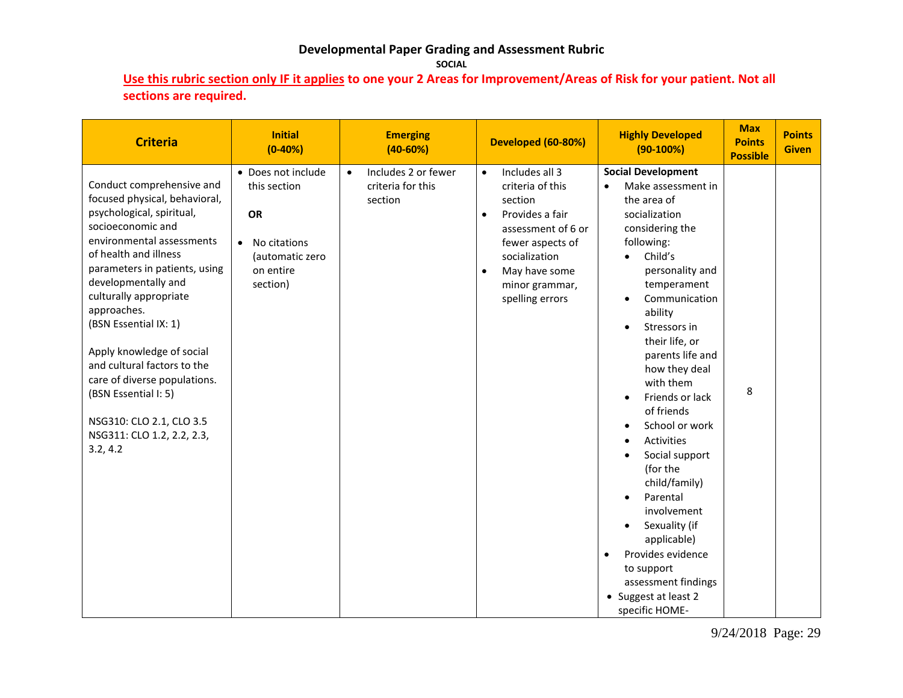# **Developmental Paper Grading and Assessment Rubric**

**SOCIAL**

**Use this rubric section only IF it applies to one your 2 Areas for Improvement/Areas of Risk for your patient. Not all sections are required.**

| <b>Criteria</b>                                                                                                                                                                                                                                                                                                                                                                                                                                                                        | <b>Initial</b><br>$(0-40%)$                                                                                       | <b>Emerging</b><br>$(40-60%)$                                    | Developed (60-80%)                                                                                                                                                                                                       | <b>Highly Developed</b><br>$(90-100%)$                                                                                                                                                                                                                                                                                                                                                                                                                                                                                                                                                                   | <b>Max</b><br><b>Points</b><br><b>Possible</b> | <b>Points</b><br><b>Given</b> |
|----------------------------------------------------------------------------------------------------------------------------------------------------------------------------------------------------------------------------------------------------------------------------------------------------------------------------------------------------------------------------------------------------------------------------------------------------------------------------------------|-------------------------------------------------------------------------------------------------------------------|------------------------------------------------------------------|--------------------------------------------------------------------------------------------------------------------------------------------------------------------------------------------------------------------------|----------------------------------------------------------------------------------------------------------------------------------------------------------------------------------------------------------------------------------------------------------------------------------------------------------------------------------------------------------------------------------------------------------------------------------------------------------------------------------------------------------------------------------------------------------------------------------------------------------|------------------------------------------------|-------------------------------|
| Conduct comprehensive and<br>focused physical, behavioral,<br>psychological, spiritual,<br>socioeconomic and<br>environmental assessments<br>of health and illness<br>parameters in patients, using<br>developmentally and<br>culturally appropriate<br>approaches.<br>(BSN Essential IX: 1)<br>Apply knowledge of social<br>and cultural factors to the<br>care of diverse populations.<br>(BSN Essential I: 5)<br>NSG310: CLO 2.1, CLO 3.5<br>NSG311: CLO 1.2, 2.2, 2.3,<br>3.2, 4.2 | • Does not include<br>this section<br>OR<br>No citations<br>$\bullet$<br>(automatic zero<br>on entire<br>section) | Includes 2 or fewer<br>$\bullet$<br>criteria for this<br>section | Includes all 3<br>$\bullet$<br>criteria of this<br>section<br>Provides a fair<br>$\bullet$<br>assessment of 6 or<br>fewer aspects of<br>socialization<br>May have some<br>$\bullet$<br>minor grammar,<br>spelling errors | <b>Social Development</b><br>Make assessment in<br>$\bullet$<br>the area of<br>socialization<br>considering the<br>following:<br>Child's<br>$\bullet$<br>personality and<br>temperament<br>Communication<br>ability<br>Stressors in<br>their life, or<br>parents life and<br>how they deal<br>with them<br>Friends or lack<br>of friends<br>School or work<br><b>Activities</b><br>Social support<br>(for the<br>child/family)<br>Parental<br>involvement<br>Sexuality (if<br>applicable)<br>Provides evidence<br>$\bullet$<br>to support<br>assessment findings<br>Suggest at least 2<br>specific HOME- | 8                                              |                               |

9/24/2018 Page: 29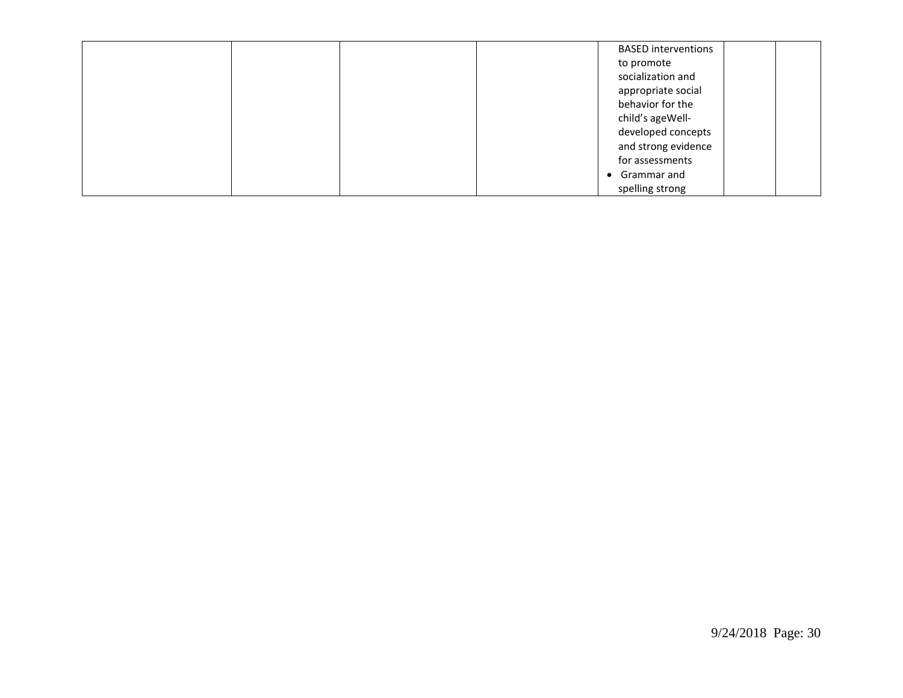| <b>BASED</b> interventions |
|----------------------------|
| to promote                 |
| socialization and          |
| appropriate social         |
| behavior for the           |
| child's ageWell-           |
| developed concepts         |
| and strong evidence        |
| for assessments            |
| • Grammar and              |
| spelling strong            |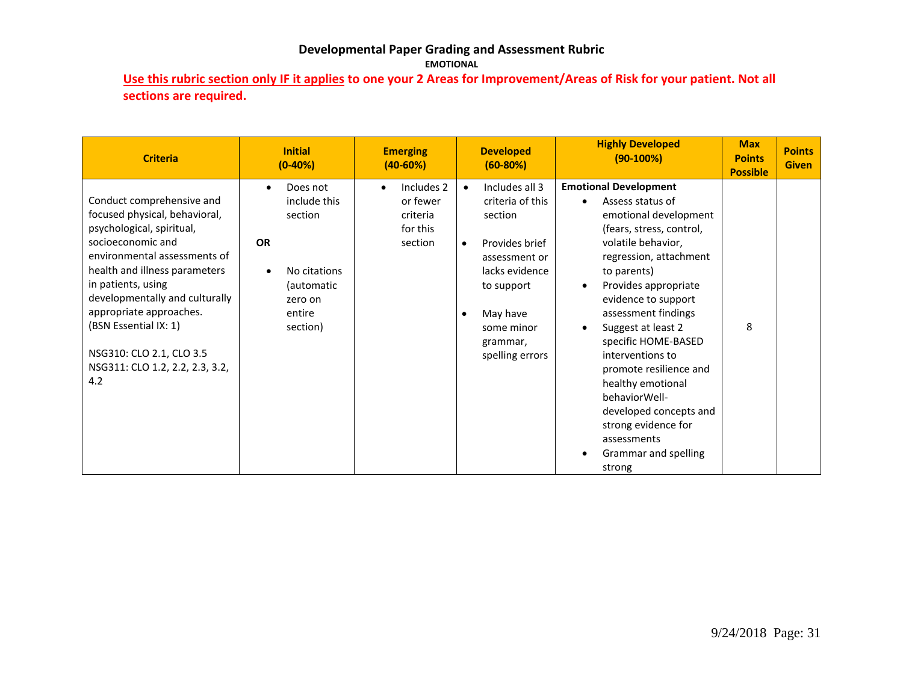#### **Developmental Paper Grading and Assessment Rubric EMOTIONAL**

**Use this rubric section only IF it applies to one your 2 Areas for Improvement/Areas of Risk for your patient. Not all sections are required.**

| <b>Criteria</b>                                                                                                                                                                                                                                                                                                                                                 | <b>Initial</b><br>$(0-40%)$                                                                                                  | <b>Emerging</b><br>$(40 - 60%)$                                        | <b>Developed</b><br>$(60-80%)$                                                                                                                                                                                   | <b>Highly Developed</b><br>$(90-100%)$                                                                                                                                                                                                                                                                                                                                                                                                                                        | <b>Max</b><br><b>Points</b><br><b>Possible</b> | <b>Points</b><br><b>Given</b> |
|-----------------------------------------------------------------------------------------------------------------------------------------------------------------------------------------------------------------------------------------------------------------------------------------------------------------------------------------------------------------|------------------------------------------------------------------------------------------------------------------------------|------------------------------------------------------------------------|------------------------------------------------------------------------------------------------------------------------------------------------------------------------------------------------------------------|-------------------------------------------------------------------------------------------------------------------------------------------------------------------------------------------------------------------------------------------------------------------------------------------------------------------------------------------------------------------------------------------------------------------------------------------------------------------------------|------------------------------------------------|-------------------------------|
| Conduct comprehensive and<br>focused physical, behavioral,<br>psychological, spiritual,<br>socioeconomic and<br>environmental assessments of<br>health and illness parameters<br>in patients, using<br>developmentally and culturally<br>appropriate approaches.<br>(BSN Essential IX: 1)<br>NSG310: CLO 2.1, CLO 3.5<br>NSG311: CLO 1.2, 2.2, 2.3, 3.2,<br>4.2 | Does not<br>$\bullet$<br>include this<br>section<br><b>OR</b><br>No citations<br>(automatic<br>zero on<br>entire<br>section) | Includes 2<br>$\bullet$<br>or fewer<br>criteria<br>for this<br>section | Includes all 3<br>$\bullet$<br>criteria of this<br>section<br>Provides brief<br>$\bullet$<br>assessment or<br>lacks evidence<br>to support<br>May have<br>$\bullet$<br>some minor<br>grammar,<br>spelling errors | <b>Emotional Development</b><br>Assess status of<br>emotional development<br>(fears, stress, control,<br>volatile behavior,<br>regression, attachment<br>to parents)<br>Provides appropriate<br>evidence to support<br>assessment findings<br>Suggest at least 2<br>specific HOME-BASED<br>interventions to<br>promote resilience and<br>healthy emotional<br>behaviorWell-<br>developed concepts and<br>strong evidence for<br>assessments<br>Grammar and spelling<br>strong | 8                                              |                               |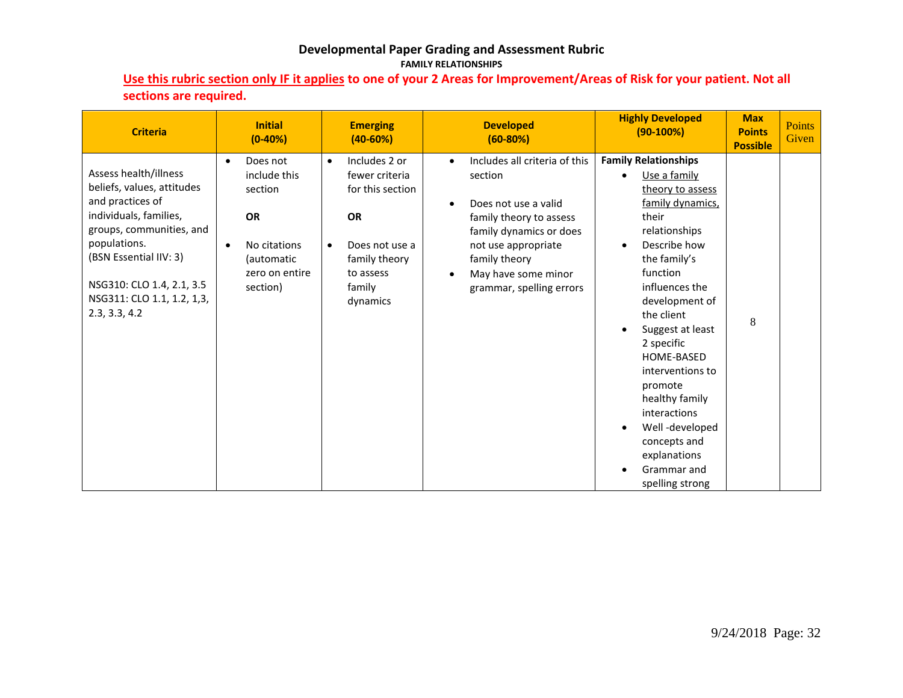### **Developmental Paper Grading and Assessment Rubric FAMILY RELATIONSHIPS**

# **Use this rubric section only IF it applies to one of your 2 Areas for Improvement/Areas of Risk for your patient. Not all sections are required.**

| <b>Criteria</b>                                                                                                                                                                                                                                     | <b>Initial</b><br>$(0-40%)$                                                                                               | <b>Emerging</b><br>$(40-60%)$                                                                                                                       | <b>Developed</b><br>$(60-80%)$                                                                                                                                                                                                                           | <b>Highly Developed</b><br>$(90-100%)$                                                                                                                                                                                                                                                                                                                                                                                        | <b>Max</b><br><b>Points</b><br><b>Possible</b> | <b>Points</b><br>Given |
|-----------------------------------------------------------------------------------------------------------------------------------------------------------------------------------------------------------------------------------------------------|---------------------------------------------------------------------------------------------------------------------------|-----------------------------------------------------------------------------------------------------------------------------------------------------|----------------------------------------------------------------------------------------------------------------------------------------------------------------------------------------------------------------------------------------------------------|-------------------------------------------------------------------------------------------------------------------------------------------------------------------------------------------------------------------------------------------------------------------------------------------------------------------------------------------------------------------------------------------------------------------------------|------------------------------------------------|------------------------|
| Assess health/illness<br>beliefs, values, attitudes<br>and practices of<br>individuals, families,<br>groups, communities, and<br>populations.<br>(BSN Essential IIV: 3)<br>NSG310: CLO 1.4, 2.1, 3.5<br>NSG311: CLO 1.1, 1.2, 1,3,<br>2.3, 3.3, 4.2 | Does not<br>include this<br>section<br><b>OR</b><br>No citations<br>$\bullet$<br>(automatic<br>zero on entire<br>section) | Includes 2 or<br>$\bullet$<br>fewer criteria<br>for this section<br><b>OR</b><br>Does not use a<br>family theory<br>to assess<br>family<br>dynamics | Includes all criteria of this<br>$\bullet$<br>section<br>Does not use a valid<br>$\bullet$<br>family theory to assess<br>family dynamics or does<br>not use appropriate<br>family theory<br>May have some minor<br>$\bullet$<br>grammar, spelling errors | <b>Family Relationships</b><br>Use a family<br>theory to assess<br>family dynamics,<br>their<br>relationships<br>Describe how<br>$\bullet$<br>the family's<br>function<br>influences the<br>development of<br>the client<br>Suggest at least<br>2 specific<br>HOME-BASED<br>interventions to<br>promote<br>healthy family<br>interactions<br>Well-developed<br>concepts and<br>explanations<br>Grammar and<br>spelling strong | 8                                              |                        |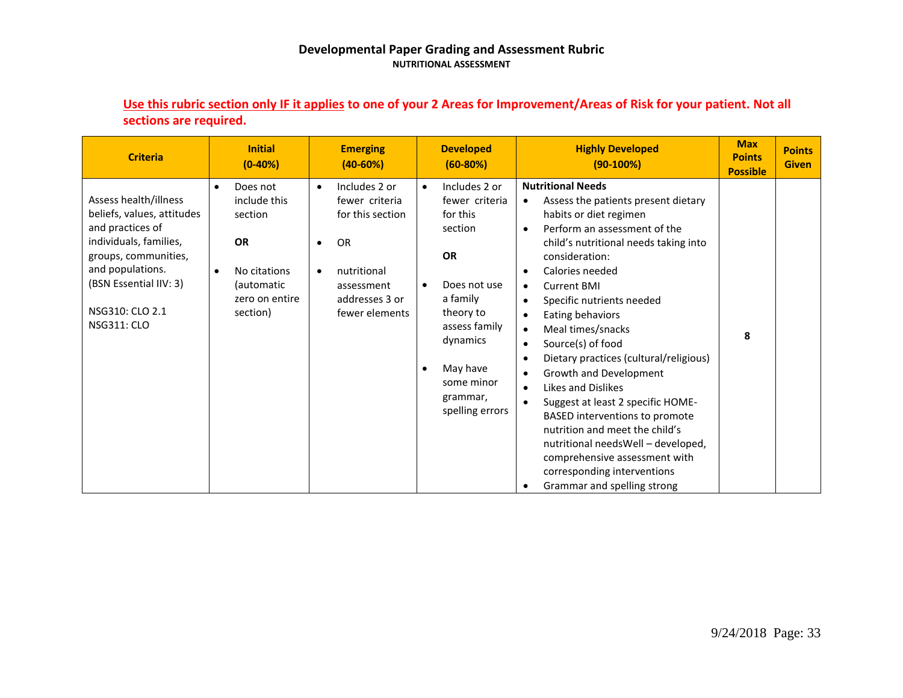#### **Developmental Paper Grading and Assessment Rubric NUTRITIONAL ASSESSMENT**

| <b>Criteria</b>                                                                                                                                                                                                  | <b>Initial</b><br>$(0-40%)$                                                                                                            | <b>Emerging</b><br>$(40 - 60%)$                                                                                                                                          | <b>Developed</b><br>$(60-80%)$                                                                                                                                                                                                            | <b>Highly Developed</b><br>$(90-100%)$                                                                                                                                                                                                                                                                                                                                                                                                                                                                                                                                                                                                                                                                                                                                                                                 | <b>Max</b><br><b>Points</b><br><b>Possible</b> | <b>Points</b><br><b>Given</b> |
|------------------------------------------------------------------------------------------------------------------------------------------------------------------------------------------------------------------|----------------------------------------------------------------------------------------------------------------------------------------|--------------------------------------------------------------------------------------------------------------------------------------------------------------------------|-------------------------------------------------------------------------------------------------------------------------------------------------------------------------------------------------------------------------------------------|------------------------------------------------------------------------------------------------------------------------------------------------------------------------------------------------------------------------------------------------------------------------------------------------------------------------------------------------------------------------------------------------------------------------------------------------------------------------------------------------------------------------------------------------------------------------------------------------------------------------------------------------------------------------------------------------------------------------------------------------------------------------------------------------------------------------|------------------------------------------------|-------------------------------|
| Assess health/illness<br>beliefs, values, attitudes<br>and practices of<br>individuals, families,<br>groups, communities,<br>and populations.<br>(BSN Essential IIV: 3)<br>NSG310: CLO 2.1<br><b>NSG311: CLO</b> | Does not<br>$\bullet$<br>include this<br>section<br><b>OR</b><br>No citations<br>$\bullet$<br>(automatic<br>zero on entire<br>section) | Includes 2 or<br>$\bullet$<br>fewer criteria<br>for this section<br><b>OR</b><br>$\bullet$<br>nutritional<br>$\bullet$<br>assessment<br>addresses 3 or<br>fewer elements | Includes 2 or<br>$\bullet$<br>fewer criteria<br>for this<br>section<br><b>OR</b><br>Does not use<br>$\bullet$<br>a family<br>theory to<br>assess family<br>dynamics<br>May have<br>$\bullet$<br>some minor<br>grammar,<br>spelling errors | <b>Nutritional Needs</b><br>Assess the patients present dietary<br>$\bullet$<br>habits or diet regimen<br>Perform an assessment of the<br>$\bullet$<br>child's nutritional needs taking into<br>consideration:<br>Calories needed<br>$\bullet$<br><b>Current BMI</b><br>$\bullet$<br>Specific nutrients needed<br>$\bullet$<br>Eating behaviors<br>$\bullet$<br>Meal times/snacks<br>$\bullet$<br>Source(s) of food<br>$\bullet$<br>Dietary practices (cultural/religious)<br>$\bullet$<br>Growth and Development<br>$\bullet$<br>Likes and Dislikes<br>$\bullet$<br>Suggest at least 2 specific HOME-<br><b>BASED</b> interventions to promote<br>nutrition and meet the child's<br>nutritional needsWell - developed,<br>comprehensive assessment with<br>corresponding interventions<br>Grammar and spelling strong | 8                                              |                               |

# **Use this rubric section only IF it applies to one of your 2 Areas for Improvement/Areas of Risk for your patient. Not all sections are required.**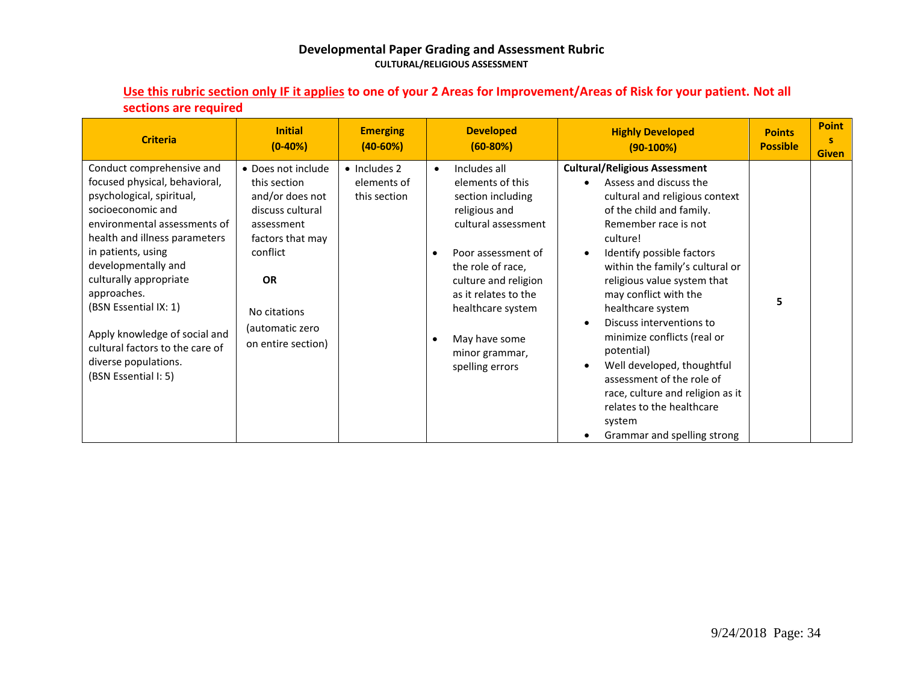#### **Developmental Paper Grading and Assessment Rubric CULTURAL/RELIGIOUS ASSESSMENT**

| scenons are reguneu                                                                                                                                                                                                                                                                                                                                                                                              |                                                                                                                                                                                               |                                                     |                                                                                                                                                                                                                                                                                  |                                                                                                                                                                                                                                                                                                                                                                                                                                                                                                                                                             |                                  |                                   |
|------------------------------------------------------------------------------------------------------------------------------------------------------------------------------------------------------------------------------------------------------------------------------------------------------------------------------------------------------------------------------------------------------------------|-----------------------------------------------------------------------------------------------------------------------------------------------------------------------------------------------|-----------------------------------------------------|----------------------------------------------------------------------------------------------------------------------------------------------------------------------------------------------------------------------------------------------------------------------------------|-------------------------------------------------------------------------------------------------------------------------------------------------------------------------------------------------------------------------------------------------------------------------------------------------------------------------------------------------------------------------------------------------------------------------------------------------------------------------------------------------------------------------------------------------------------|----------------------------------|-----------------------------------|
| <b>Criteria</b>                                                                                                                                                                                                                                                                                                                                                                                                  | <b>Initial</b><br>$(0-40%)$                                                                                                                                                                   | <b>Emerging</b><br>$(40 - 60%)$                     | <b>Developed</b><br>$(60-80%)$                                                                                                                                                                                                                                                   | <b>Highly Developed</b><br>$(90-100%)$                                                                                                                                                                                                                                                                                                                                                                                                                                                                                                                      | <b>Points</b><br><b>Possible</b> | <b>Point</b><br>s<br><b>Given</b> |
| Conduct comprehensive and<br>focused physical, behavioral,<br>psychological, spiritual,<br>socioeconomic and<br>environmental assessments of<br>health and illness parameters<br>in patients, using<br>developmentally and<br>culturally appropriate<br>approaches.<br>(BSN Essential IX: 1)<br>Apply knowledge of social and<br>cultural factors to the care of<br>diverse populations.<br>(BSN Essential I: 5) | • Does not include<br>this section<br>and/or does not<br>discuss cultural<br>assessment<br>factors that may<br>conflict<br><b>OR</b><br>No citations<br>(automatic zero<br>on entire section) | $\bullet$ Includes 2<br>elements of<br>this section | Includes all<br>$\bullet$<br>elements of this<br>section including<br>religious and<br>cultural assessment<br>Poor assessment of<br>the role of race,<br>culture and religion<br>as it relates to the<br>healthcare system<br>May have some<br>minor grammar,<br>spelling errors | <b>Cultural/Religious Assessment</b><br>Assess and discuss the<br>cultural and religious context<br>of the child and family.<br>Remember race is not<br>culture!<br>Identify possible factors<br>within the family's cultural or<br>religious value system that<br>may conflict with the<br>healthcare system<br>Discuss interventions to<br>minimize conflicts (real or<br>potential)<br>Well developed, thoughtful<br>assessment of the role of<br>race, culture and religion as it<br>relates to the healthcare<br>system<br>Grammar and spelling strong | 5                                |                                   |

### **Use this rubric section only IF it applies to one of your 2 Areas for Improvement/Areas of Risk for your patient. Not all sections are required**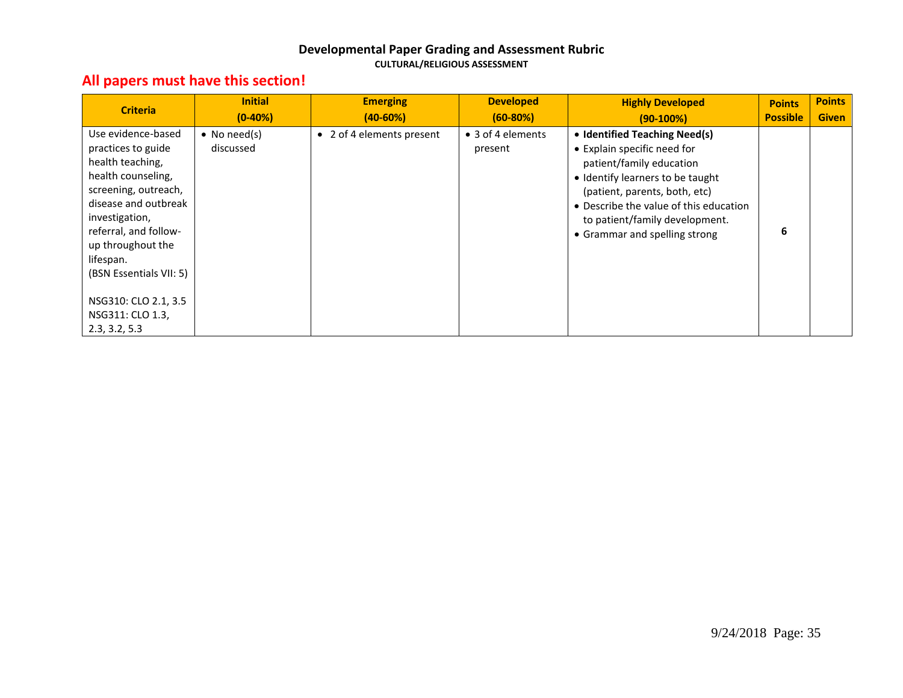#### **Developmental Paper Grading and Assessment Rubric CULTURAL/RELIGIOUS ASSESSMENT**

# **All papers must have this section!**

| <b>Criteria</b>                                                                                                                                                                                                                            | <b>Initial</b><br>$(0-40%)$       | <b>Emerging</b><br>$(40-60%)$ | <b>Developed</b><br>$(60-80%)$ | <b>Highly Developed</b><br>$(90-100%)$                                                                                                                                                                                                                                     | <b>Points</b><br><b>Possible</b> | <b>Points</b><br><b>Given</b> |
|--------------------------------------------------------------------------------------------------------------------------------------------------------------------------------------------------------------------------------------------|-----------------------------------|-------------------------------|--------------------------------|----------------------------------------------------------------------------------------------------------------------------------------------------------------------------------------------------------------------------------------------------------------------------|----------------------------------|-------------------------------|
| Use evidence-based<br>practices to guide<br>health teaching,<br>health counseling,<br>screening, outreach,<br>disease and outbreak<br>investigation,<br>referral, and follow-<br>up throughout the<br>lifespan.<br>(BSN Essentials VII: 5) | $\bullet$ No need(s)<br>discussed | • 2 of 4 elements present     | • 3 of 4 elements<br>present   | • Identified Teaching Need(s)<br>• Explain specific need for<br>patient/family education<br>• Identify learners to be taught<br>(patient, parents, both, etc)<br>• Describe the value of this education<br>to patient/family development.<br>• Grammar and spelling strong | 6                                |                               |
| NSG310: CLO 2.1, 3.5<br>NSG311: CLO 1.3,<br>2.3, 3.2, 5.3                                                                                                                                                                                  |                                   |                               |                                |                                                                                                                                                                                                                                                                            |                                  |                               |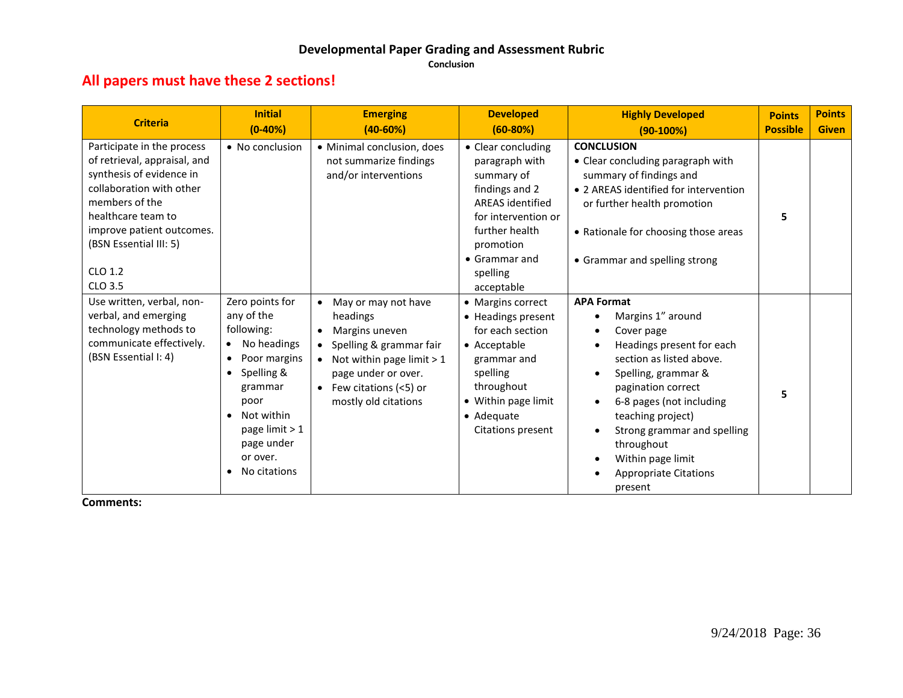# **Developmental Paper Grading and Assessment Rubric**

**Conclusion**

# **All papers must have these 2 sections!**

| <b>Criteria</b>                                                                                                                                                                                                                         | <b>Initial</b><br>$(0-40%)$                                                                                                                                                                                                                              | <b>Emerging</b><br>$(40-60%)$                                                                                                                                                                                                  | <b>Developed</b><br>$(60-80%)$                                                                                                                                                                           | <b>Highly Developed</b><br>$(90-100%)$                                                                                                                                                                                                                                                                                                | <b>Points</b><br><b>Possible</b> | <b>Points</b><br><b>Given</b> |
|-----------------------------------------------------------------------------------------------------------------------------------------------------------------------------------------------------------------------------------------|----------------------------------------------------------------------------------------------------------------------------------------------------------------------------------------------------------------------------------------------------------|--------------------------------------------------------------------------------------------------------------------------------------------------------------------------------------------------------------------------------|----------------------------------------------------------------------------------------------------------------------------------------------------------------------------------------------------------|---------------------------------------------------------------------------------------------------------------------------------------------------------------------------------------------------------------------------------------------------------------------------------------------------------------------------------------|----------------------------------|-------------------------------|
| Participate in the process<br>of retrieval, appraisal, and<br>synthesis of evidence in<br>collaboration with other<br>members of the<br>healthcare team to<br>improve patient outcomes.<br>(BSN Essential III: 5)<br>CLO 1.2<br>CLO 3.5 | • No conclusion                                                                                                                                                                                                                                          | • Minimal conclusion, does<br>not summarize findings<br>and/or interventions                                                                                                                                                   | • Clear concluding<br>paragraph with<br>summary of<br>findings and 2<br><b>AREAS</b> identified<br>for intervention or<br>further health<br>promotion<br>$\bullet$ Grammar and<br>spelling<br>acceptable | <b>CONCLUSION</b><br>• Clear concluding paragraph with<br>summary of findings and<br>• 2 AREAS identified for intervention<br>or further health promotion<br>• Rationale for choosing those areas<br>• Grammar and spelling strong                                                                                                    | 5                                |                               |
| Use written, verbal, non-<br>verbal, and emerging<br>technology methods to<br>communicate effectively.<br>(BSN Essential I: 4)                                                                                                          | Zero points for<br>any of the<br>following:<br>No headings<br>$\bullet$<br>Poor margins<br>$\bullet$<br>Spelling &<br>$\bullet$<br>grammar<br>poor<br>Not within<br>$\bullet$<br>page limit $> 1$<br>page under<br>or over.<br>No citations<br>$\bullet$ | May or may not have<br>$\bullet$<br>headings<br>Margins uneven<br>$\bullet$<br>Spelling & grammar fair<br>$\bullet$<br>Not within page limit $> 1$<br>page under or over.<br>• Few citations $(<5)$ or<br>mostly old citations | • Margins correct<br>• Headings present<br>for each section<br>• Acceptable<br>grammar and<br>spelling<br>throughout<br>• Within page limit<br>$\bullet$ Adequate<br>Citations present                   | <b>APA Format</b><br>Margins 1" around<br>Cover page<br>Headings present for each<br>section as listed above.<br>Spelling, grammar &<br>$\bullet$<br>pagination correct<br>6-8 pages (not including<br>teaching project)<br>Strong grammar and spelling<br>throughout<br>Within page limit<br><b>Appropriate Citations</b><br>present | 5                                |                               |

**Comments:**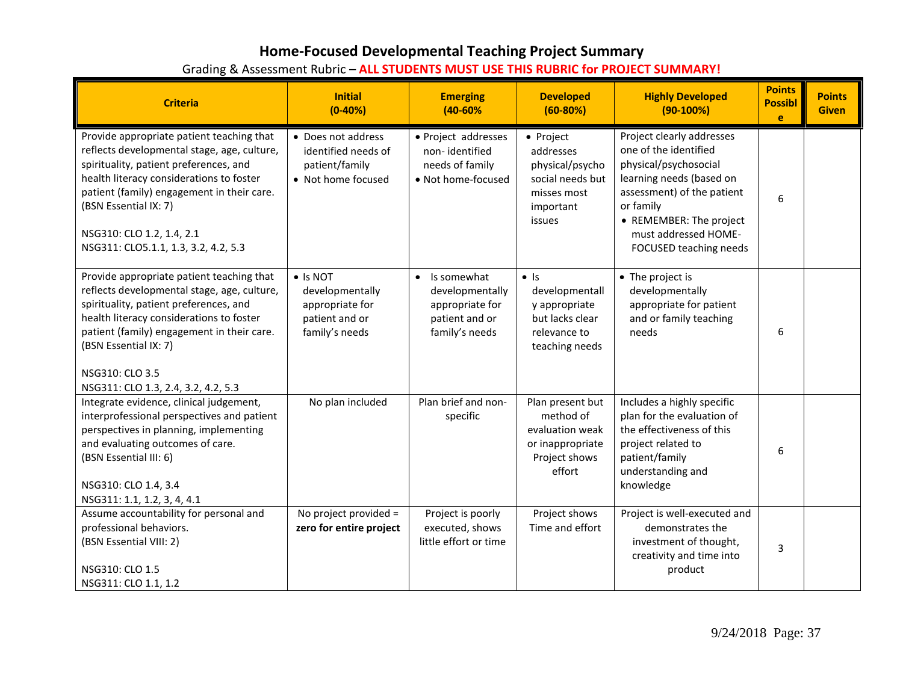# **Home-Focused Developmental Teaching Project Summary**

|  | Grading & Assessment Rubric - ALL STUDENTS MUST USE THIS RUBRIC for PROJECT SUMMARY! |
|--|--------------------------------------------------------------------------------------|
|--|--------------------------------------------------------------------------------------|

| <b>Criteria</b>                                                                                                                                                                                                                                                                                                            | <b>Initial</b><br>$(0-40%)$                                                        | <b>Emerging</b><br>$(40 - 60\%$                                                                    | <b>Developed</b><br>$(60-80%)$                                                                       | <b>Highly Developed</b><br>$(90-100%)$                                                                                                                                                                                          | <b>Points</b><br><b>Possibl</b><br>e. | <b>Points</b><br><b>Given</b> |
|----------------------------------------------------------------------------------------------------------------------------------------------------------------------------------------------------------------------------------------------------------------------------------------------------------------------------|------------------------------------------------------------------------------------|----------------------------------------------------------------------------------------------------|------------------------------------------------------------------------------------------------------|---------------------------------------------------------------------------------------------------------------------------------------------------------------------------------------------------------------------------------|---------------------------------------|-------------------------------|
| Provide appropriate patient teaching that<br>reflects developmental stage, age, culture,<br>spirituality, patient preferences, and<br>health literacy considerations to foster<br>patient (family) engagement in their care.<br>(BSN Essential IX: 7)<br>NSG310: CLO 1.2, 1.4, 2.1<br>NSG311: CLO5.1.1, 1.3, 3.2, 4.2, 5.3 | • Does not address<br>identified needs of<br>patient/family<br>• Not home focused  | · Project addresses<br>non-identified<br>needs of family<br>• Not home-focused                     | • Project<br>addresses<br>physical/psycho<br>social needs but<br>misses most<br>important<br>issues  | Project clearly addresses<br>one of the identified<br>physical/psychosocial<br>learning needs (based on<br>assessment) of the patient<br>or family<br>• REMEMBER: The project<br>must addressed HOME-<br>FOCUSED teaching needs | 6                                     |                               |
| Provide appropriate patient teaching that<br>reflects developmental stage, age, culture,<br>spirituality, patient preferences, and<br>health literacy considerations to foster<br>patient (family) engagement in their care.<br>(BSN Essential IX: 7)<br>NSG310: CLO 3.5<br>NSG311: CLO 1.3, 2.4, 3.2, 4.2, 5.3            | • Is NOT<br>developmentally<br>appropriate for<br>patient and or<br>family's needs | Is somewhat<br>$\bullet$<br>developmentally<br>appropriate for<br>patient and or<br>family's needs | $\bullet$ Is<br>developmentall<br>y appropriate<br>but lacks clear<br>relevance to<br>teaching needs | • The project is<br>developmentally<br>appropriate for patient<br>and or family teaching<br>needs                                                                                                                               | 6                                     |                               |
| Integrate evidence, clinical judgement,<br>interprofessional perspectives and patient<br>perspectives in planning, implementing<br>and evaluating outcomes of care.<br>(BSN Essential III: 6)<br>NSG310: CLO 1.4, 3.4<br>NSG311: 1.1, 1.2, 3, 4, 4.1                                                                       | No plan included                                                                   | Plan brief and non-<br>specific                                                                    | Plan present but<br>method of<br>evaluation weak<br>or inappropriate<br>Project shows<br>effort      | Includes a highly specific<br>plan for the evaluation of<br>the effectiveness of this<br>project related to<br>patient/family<br>understanding and<br>knowledge                                                                 | 6                                     |                               |
| Assume accountability for personal and<br>professional behaviors.<br>(BSN Essential VIII: 2)<br>NSG310: CLO 1.5<br>NSG311: CLO 1.1, 1.2                                                                                                                                                                                    | No project provided =<br>zero for entire project                                   | Project is poorly<br>executed, shows<br>little effort or time                                      | Project shows<br>Time and effort                                                                     | Project is well-executed and<br>demonstrates the<br>investment of thought,<br>creativity and time into<br>product                                                                                                               | 3                                     |                               |